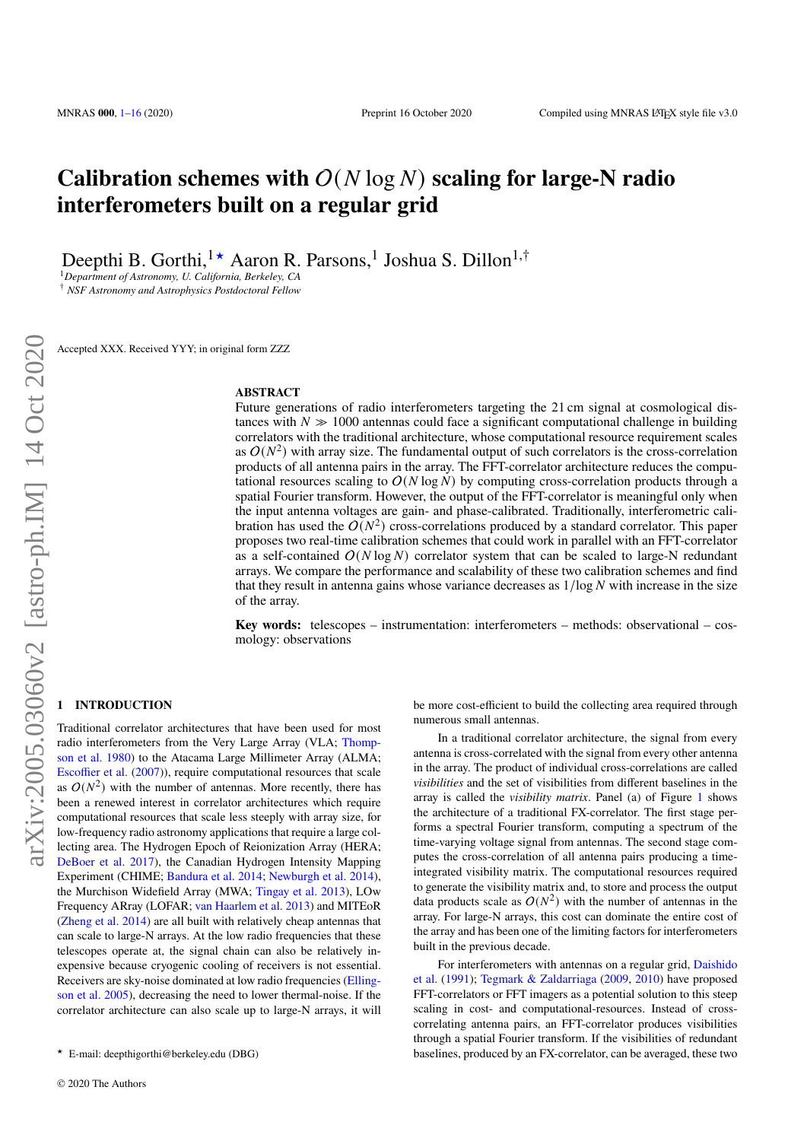# **Calibration schemes with**  $O(N \log N)$  scaling for large-N radio **interferometers built on a regular grid**

Deepthi B. Gorthi,<sup>1★</sup> Aaron R. Parsons,<sup>1</sup> Joshua S. Dillon<sup>1,†</sup>

<sup>1</sup>*Department of Astronomy, U. California, Berkeley, CA*

† *NSF Astronomy and Astrophysics Postdoctoral Fellow*

Accepted XXX. Received YYY; in original form ZZZ

# **ABSTRACT**

Future generations of radio interferometers targeting the 21 cm signal at cosmological distances with  $N \gg 1000$  antennas could face a significant computational challenge in building correlators with the traditional architecture, whose computational resource requirement scales as  $O(N^2)$  with array size. The fundamental output of such correlators is the cross-correlation products of all antenna pairs in the array. The FFT-correlator architecture reduces the computational resources scaling to  $O(N \log N)$  by computing cross-correlation products through a spatial Fourier transform. However, the output of the FFT-correlator is meaningful only when the input antenna voltages are gain- and phase-calibrated. Traditionally, interferometric calibration has used the  $O(N^2)$  cross-correlations produced by a standard correlator. This paper proposes two real-time calibration schemes that could work in parallel with an FFT-correlator as a self-contained  $O(N \log N)$  correlator system that can be scaled to large-N redundant arrays. We compare the performance and scalability of these two calibration schemes and find that they result in antenna gains whose variance decreases as  $1/\log N$  with increase in the size of the array.

**Key words:** telescopes – instrumentation: interferometers – methods: observational – cosmology: observations

# <span id="page-0-0"></span>**1 INTRODUCTION**

Traditional correlator architectures that have been used for most radio interferometers from the Very Large Array (VLA; [Thomp](#page-15-1)[son et al.](#page-15-1) [1980\)](#page-15-1) to the Atacama Large Millimeter Array (ALMA; [Escoffier et al.](#page-15-2) [\(2007\)](#page-15-2)), require computational resources that scale as  $O(N^2)$  with the number of antennas. More recently, there has been a renewed interest in correlator architectures which require computational resources that scale less steeply with array size, for low-frequency radio astronomy applications that require a large collecting area. The Hydrogen Epoch of Reionization Array (HERA; [DeBoer et al.](#page-15-3) [2017\)](#page-15-3), the Canadian Hydrogen Intensity Mapping Experiment (CHIME; [Bandura et al.](#page-15-4) [2014;](#page-15-4) [Newburgh et al.](#page-15-5) [2014\)](#page-15-5), the Murchison Widefield Array (MWA; [Tingay et al.](#page-15-6) [2013\)](#page-15-6), LOw Frequency ARray (LOFAR; [van Haarlem et al.](#page-15-7) [2013\)](#page-15-7) and MITEoR [\(Zheng et al.](#page-15-8) [2014\)](#page-15-8) are all built with relatively cheap antennas that can scale to large-N arrays. At the low radio frequencies that these telescopes operate at, the signal chain can also be relatively inexpensive because cryogenic cooling of receivers is not essential. Receivers are sky-noise dominated at low radio frequencies [\(Elling](#page-15-9)[son et al.](#page-15-9) [2005\)](#page-15-9), decreasing the need to lower thermal-noise. If the correlator architecture can also scale up to large-N arrays, it will be more cost-efficient to build the collecting area required through numerous small antennas.

In a traditional correlator architecture, the signal from every antenna is cross-correlated with the signal from every other antenna in the array. The product of individual cross-correlations are called *visibilities* and the set of visibilities from different baselines in the array is called the *visibility matrix*. Panel (a) of Figure [1](#page-1-0) shows the architecture of a traditional FX-correlator. The first stage performs a spectral Fourier transform, computing a spectrum of the time-varying voltage signal from antennas. The second stage computes the cross-correlation of all antenna pairs producing a timeintegrated visibility matrix. The computational resources required to generate the visibility matrix and, to store and process the output data products scale as  $O(N^2)$  with the number of antennas in the array. For large-N arrays, this cost can dominate the entire cost of the array and has been one of the limiting factors for interferometers built in the previous decade.

For interferometers with antennas on a regular grid, [Daishido](#page-15-10) [et al.](#page-15-10) [\(1991\)](#page-15-10); [Tegmark & Zaldarriaga](#page-15-11) [\(2009,](#page-15-11) [2010\)](#page-15-12) have proposed FFT-correlators or FFT imagers as a potential solution to this steep scaling in cost- and computational-resources. Instead of crosscorrelating antenna pairs, an FFT-correlator produces visibilities through a spatial Fourier transform. If the visibilities of redundant baselines, produced by an FX-correlator, can be averaged, these two

<sup>★</sup> E-mail: deepthigorthi@berkeley.edu (DBG)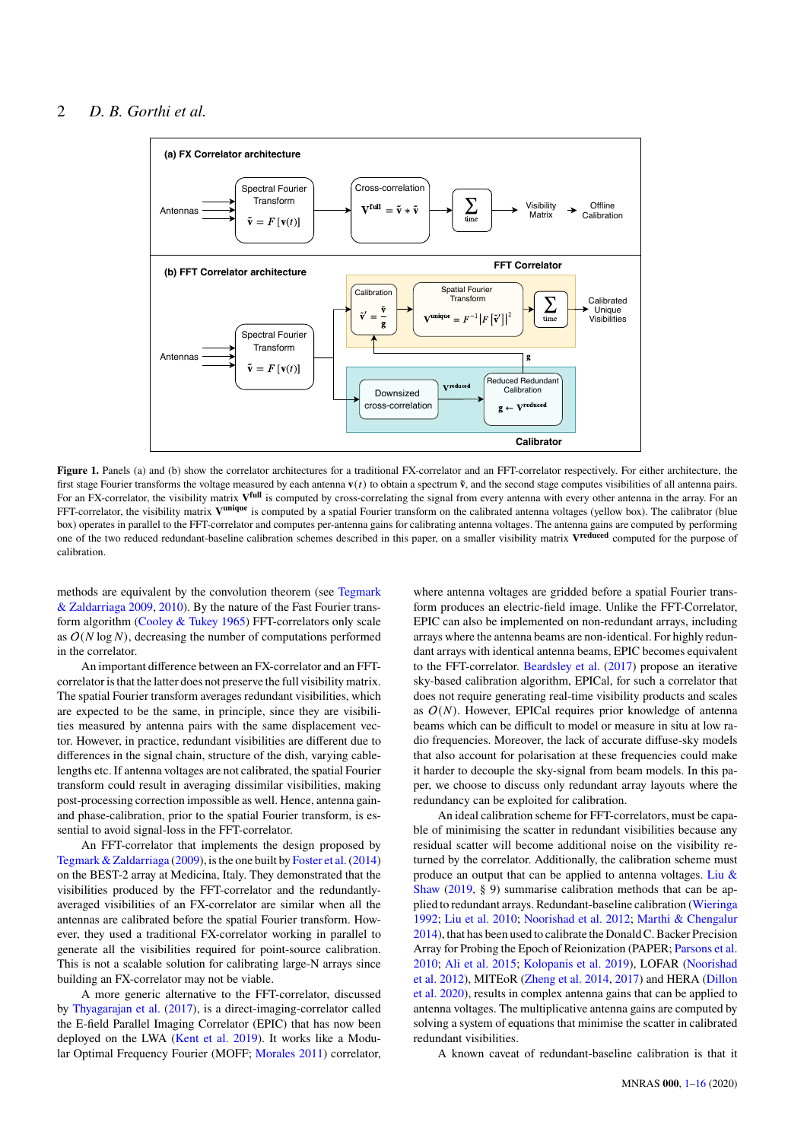

Figure 1. Panels (a) and (b) show the correlator architectures for a traditional FX-correlator and an FFT-correlator respectively. For either architecture, the first stage Fourier transforms the voltage measured by each antenna  $\mathbf{v}(t)$  to obtain a spectrum  $\tilde{\mathbf{v}}$ , and the second stage computes visibilities of all antenna pairs. For an FX-correlator, the visibility matrix  $V^{\text{full}}$  is computed by cross-correlating the signal from every antenna with every other antenna in the array. For an FFT-correlator, the visibility matrix V<sup>unique</sup> is computed by a spatial Fourier transform on the calibrated antenna voltages (yellow box). The calibrator (blue box) operates in parallel to the FFT-correlator and computes per-antenna gains for calibrating antenna voltages. The antenna gains are computed by performing one of the two reduced redundant-baseline calibration schemes described in this paper, on a smaller visibility matrix **V reduced** computed for the purpose of calibration.

methods are equivalent by the convolution theorem (see [Tegmark](#page-15-11) [& Zaldarriaga](#page-15-11) [2009,](#page-15-11) [2010\)](#page-15-12). By the nature of the Fast Fourier transform algorithm [\(Cooley & Tukey](#page-15-13) [1965\)](#page-15-13) FFT-correlators only scale as  $O(N \log N)$ , decreasing the number of computations performed in the correlator.

An important difference between an FX-correlator and an FFTcorrelator is that the latter does not preserve the full visibility matrix. The spatial Fourier transform averages redundant visibilities, which are expected to be the same, in principle, since they are visibilities measured by antenna pairs with the same displacement vector. However, in practice, redundant visibilities are different due to differences in the signal chain, structure of the dish, varying cablelengths etc. If antenna voltages are not calibrated, the spatial Fourier transform could result in averaging dissimilar visibilities, making post-processing correction impossible as well. Hence, antenna gainand phase-calibration, prior to the spatial Fourier transform, is essential to avoid signal-loss in the FFT-correlator.

An FFT-correlator that implements the design proposed by [Tegmark & Zaldarriaga](#page-15-11) [\(2009\)](#page-15-11), is the one built by [Foster et al.\(2014\)](#page-15-14) on the BEST-2 array at Medicina, Italy. They demonstrated that the visibilities produced by the FFT-correlator and the redundantlyaveraged visibilities of an FX-correlator are similar when all the antennas are calibrated before the spatial Fourier transform. However, they used a traditional FX-correlator working in parallel to generate all the visibilities required for point-source calibration. This is not a scalable solution for calibrating large-N arrays since building an FX-correlator may not be viable.

A more generic alternative to the FFT-correlator, discussed by [Thyagarajan et al.](#page-15-15) [\(2017\)](#page-15-15), is a direct-imaging-correlator called the E-field Parallel Imaging Correlator (EPIC) that has now been deployed on the LWA [\(Kent et al.](#page-15-16) [2019\)](#page-15-16). It works like a Modular Optimal Frequency Fourier (MOFF; [Morales](#page-15-17) [2011\)](#page-15-17) correlator,

<span id="page-1-0"></span>where antenna voltages are gridded before a spatial Fourier transform produces an electric-field image. Unlike the FFT-Correlator, EPIC can also be implemented on non-redundant arrays, including arrays where the antenna beams are non-identical. For highly redundant arrays with identical antenna beams, EPIC becomes equivalent to the FFT-correlator. [Beardsley et al.](#page-15-18) [\(2017\)](#page-15-18) propose an iterative sky-based calibration algorithm, EPICal, for such a correlator that does not require generating real-time visibility products and scales as  $O(N)$ . However, EPICal requires prior knowledge of antenna beams which can be difficult to model or measure in situ at low radio frequencies. Moreover, the lack of accurate diffuse-sky models that also account for polarisation at these frequencies could make it harder to decouple the sky-signal from beam models. In this paper, we choose to discuss only redundant array layouts where the redundancy can be exploited for calibration.

An ideal calibration scheme for FFT-correlators, must be capable of minimising the scatter in redundant visibilities because any residual scatter will become additional noise on the visibility returned by the correlator. Additionally, the calibration scheme must produce an output that can be applied to antenna voltages. Liu  $\&$ [Shaw](#page-15-19) [\(2019,](#page-15-19) § 9) summarise calibration methods that can be applied to redundant arrays. Redundant-baseline calibration [\(Wieringa](#page-15-20) [1992;](#page-15-20) [Liu et al.](#page-15-21) [2010;](#page-15-21) [Noorishad et al.](#page-15-22) [2012;](#page-15-22) [Marthi & Chengalur](#page-15-23) [2014\)](#page-15-23), that has been used to calibrate the Donald C. Backer Precision Array for Probing the Epoch of Reionization (PAPER; [Parsons et al.](#page-15-24) [2010;](#page-15-24) [Ali et al.](#page-15-25) [2015;](#page-15-25) [Kolopanis et al.](#page-15-26) [2019\)](#page-15-26), LOFAR [\(Noorishad](#page-15-22) [et al.](#page-15-22) [2012\)](#page-15-22), MITEoR [\(Zheng et al.](#page-15-8) [2014,](#page-15-8) [2017\)](#page-15-27) and HERA [\(Dillon](#page-15-28) [et al.](#page-15-28) [2020\)](#page-15-28), results in complex antenna gains that can be applied to antenna voltages. The multiplicative antenna gains are computed by solving a system of equations that minimise the scatter in calibrated redundant visibilities.

A known caveat of redundant-baseline calibration is that it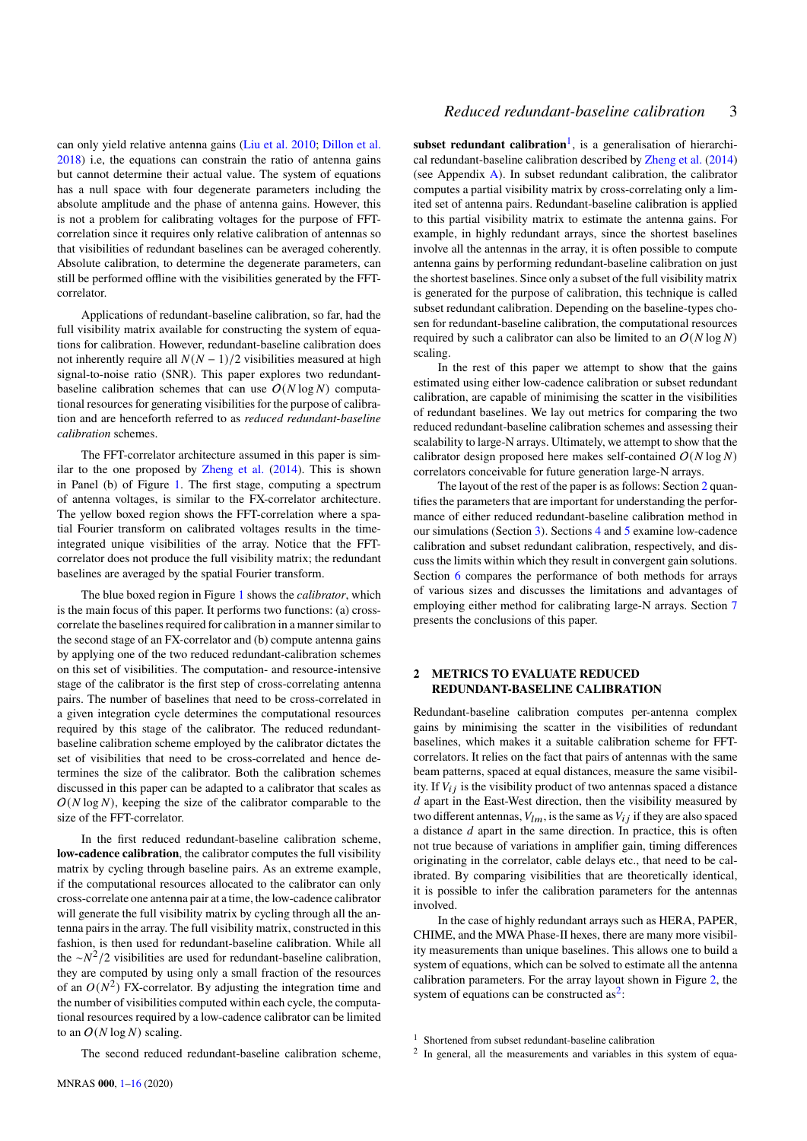can only yield relative antenna gains [\(Liu et al.](#page-15-21) [2010;](#page-15-21) [Dillon et al.](#page-15-29) [2018\)](#page-15-29) i.e, the equations can constrain the ratio of antenna gains but cannot determine their actual value. The system of equations has a null space with four degenerate parameters including the absolute amplitude and the phase of antenna gains. However, this is not a problem for calibrating voltages for the purpose of FFTcorrelation since it requires only relative calibration of antennas so that visibilities of redundant baselines can be averaged coherently. Absolute calibration, to determine the degenerate parameters, can still be performed offline with the visibilities generated by the FFTcorrelator.

Applications of redundant-baseline calibration, so far, had the full visibility matrix available for constructing the system of equations for calibration. However, redundant-baseline calibration does not inherently require all  $N(N - 1)/2$  visibilities measured at high signal-to-noise ratio (SNR). This paper explores two redundantbaseline calibration schemes that can use  $O(N \log N)$  computational resources for generating visibilities for the purpose of calibration and are henceforth referred to as *reduced redundant-baseline calibration* schemes.

The FFT-correlator architecture assumed in this paper is similar to the one proposed by [Zheng et al.](#page-15-8) [\(2014\)](#page-15-8). This is shown in Panel (b) of Figure [1.](#page-1-0) The first stage, computing a spectrum of antenna voltages, is similar to the FX-correlator architecture. The yellow boxed region shows the FFT-correlation where a spatial Fourier transform on calibrated voltages results in the timeintegrated unique visibilities of the array. Notice that the FFTcorrelator does not produce the full visibility matrix; the redundant baselines are averaged by the spatial Fourier transform.

The blue boxed region in Figure [1](#page-1-0) shows the *calibrator*, which is the main focus of this paper. It performs two functions: (a) crosscorrelate the baselines required for calibration in a manner similar to the second stage of an FX-correlator and (b) compute antenna gains by applying one of the two reduced redundant-calibration schemes on this set of visibilities. The computation- and resource-intensive stage of the calibrator is the first step of cross-correlating antenna pairs. The number of baselines that need to be cross-correlated in a given integration cycle determines the computational resources required by this stage of the calibrator. The reduced redundantbaseline calibration scheme employed by the calibrator dictates the set of visibilities that need to be cross-correlated and hence determines the size of the calibrator. Both the calibration schemes discussed in this paper can be adapted to a calibrator that scales as  $O(N \log N)$ , keeping the size of the calibrator comparable to the size of the FFT-correlator.

In the first reduced redundant-baseline calibration scheme, **low-cadence calibration**, the calibrator computes the full visibility matrix by cycling through baseline pairs. As an extreme example, if the computational resources allocated to the calibrator can only cross-correlate one antenna pair at a time, the low-cadence calibrator will generate the full visibility matrix by cycling through all the antenna pairs in the array. The full visibility matrix, constructed in this fashion, is then used for redundant-baseline calibration. While all the  $\sim N^2/2$  visibilities are used for redundant-baseline calibration, they are computed by using only a small fraction of the resources of an  $O(N^2)$  FX-correlator. By adjusting the integration time and the number of visibilities computed within each cycle, the computational resources required by a low-cadence calibrator can be limited to an  $O(N \log N)$  scaling.

*Reduced redundant-baseline calibration* 3

subset redundant calibration<sup>[1](#page-2-0)</sup>, is a generalisation of hierarchical redundant-baseline calibration described by [Zheng et al.](#page-15-8) [\(2014\)](#page-15-8) (see Appendix  $\bf{A}$ ). In subset redundant calibration, the calibrator computes a partial visibility matrix by cross-correlating only a limited set of antenna pairs. Redundant-baseline calibration is applied to this partial visibility matrix to estimate the antenna gains. For example, in highly redundant arrays, since the shortest baselines involve all the antennas in the array, it is often possible to compute antenna gains by performing redundant-baseline calibration on just the shortest baselines. Since only a subset of the full visibility matrix is generated for the purpose of calibration, this technique is called subset redundant calibration. Depending on the baseline-types chosen for redundant-baseline calibration, the computational resources required by such a calibrator can also be limited to an  $O(N \log N)$ scaling.

In the rest of this paper we attempt to show that the gains estimated using either low-cadence calibration or subset redundant calibration, are capable of minimising the scatter in the visibilities of redundant baselines. We lay out metrics for comparing the two reduced redundant-baseline calibration schemes and assessing their scalability to large-N arrays. Ultimately, we attempt to show that the calibrator design proposed here makes self-contained  $O(N \log N)$ correlators conceivable for future generation large-N arrays.

The layout of the rest of the paper is as follows: Section [2](#page-2-1) quantifies the parameters that are important for understanding the performance of either reduced redundant-baseline calibration method in our simulations (Section [3\)](#page-5-0). Sections [4](#page-5-1) and [5](#page-7-0) examine low-cadence calibration and subset redundant calibration, respectively, and discuss the limits within which they result in convergent gain solutions. Section [6](#page-10-0) compares the performance of both methods for arrays of various sizes and discusses the limitations and advantages of employing either method for calibrating large-N arrays. Section [7](#page-14-0) presents the conclusions of this paper.

# <span id="page-2-1"></span>**2 METRICS TO EVALUATE REDUCED REDUNDANT-BASELINE CALIBRATION**

Redundant-baseline calibration computes per-antenna complex gains by minimising the scatter in the visibilities of redundant baselines, which makes it a suitable calibration scheme for FFTcorrelators. It relies on the fact that pairs of antennas with the same beam patterns, spaced at equal distances, measure the same visibility. If  $V_{ij}$  is the visibility product of two antennas spaced a distance  $d$  apart in the East-West direction, then the visibility measured by two different antennas,  $V_{lm}$ , is the same as  $V_{ij}$  if they are also spaced a distance  $d$  apart in the same direction. In practice, this is often not true because of variations in amplifier gain, timing differences originating in the correlator, cable delays etc., that need to be calibrated. By comparing visibilities that are theoretically identical, it is possible to infer the calibration parameters for the antennas involved.

In the case of highly redundant arrays such as HERA, PAPER, CHIME, and the MWA Phase-II hexes, there are many more visibility measurements than unique baselines. This allows one to build a system of equations, which can be solved to estimate all the antenna calibration parameters. For the array layout shown in Figure [2,](#page-5-2) the system of equations can be constructed as<sup>[2](#page-2-2)</sup>:

The second reduced redundant-baseline calibration scheme,

<span id="page-2-0"></span> $1$  Shortened from subset redundant-baseline calibration

<span id="page-2-2"></span><sup>&</sup>lt;sup>2</sup> In general, all the measurements and variables in this system of equa-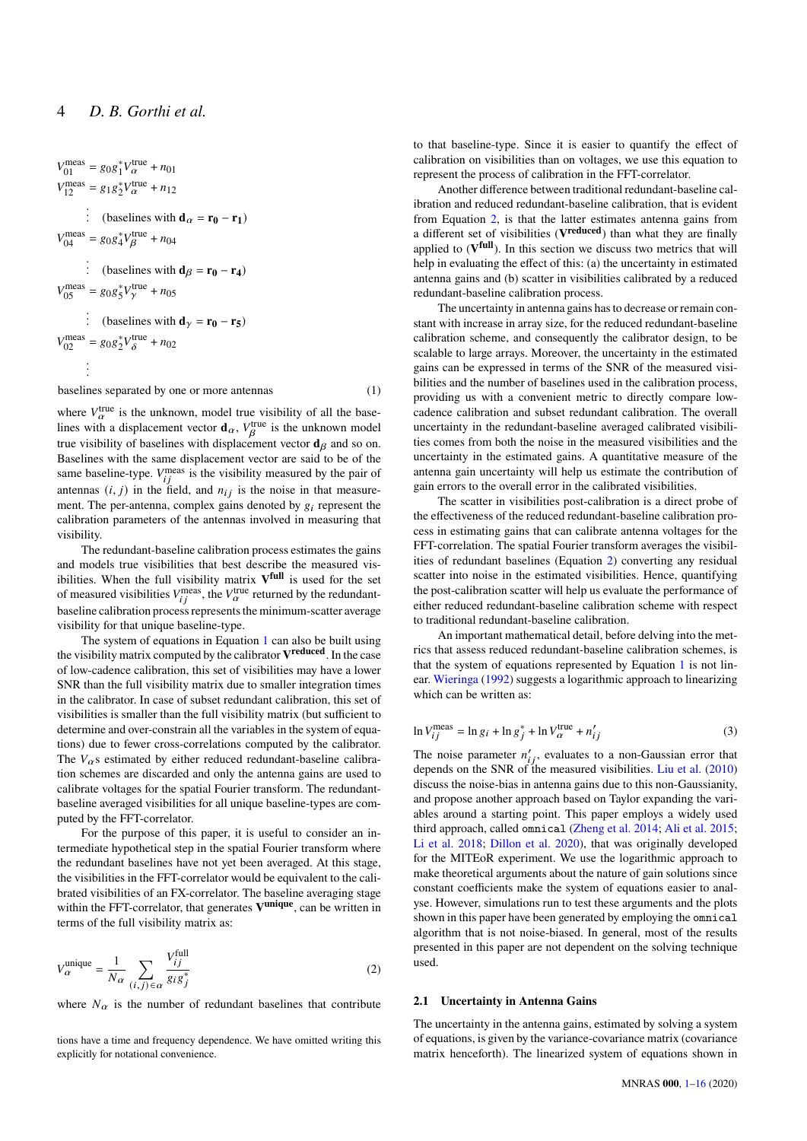$$
V_{01}^{\text{meas}} = g_0 g_1^* V_{\alpha}^{\text{true}} + n_{01}
$$
  
\n
$$
V_{12}^{\text{meas}} = g_1 g_2^* V_{\alpha}^{\text{true}} + n_{12}
$$
  
\n
$$
\vdots \quad \text{(baseline with } \mathbf{d}_{\alpha} = \mathbf{r}_0 - \mathbf{r}_1)
$$
  
\n
$$
V_{04}^{\text{meas}} = g_0 g_4^* V_{\beta}^{\text{true}} + n_{04}
$$
  
\n
$$
\vdots \quad \text{(baseline with } \mathbf{d}_{\beta} = \mathbf{r}_0 - \mathbf{r}_4)
$$
  
\n
$$
V_{05}^{\text{meas}} = g_0 g_5^* V_{\gamma}^{\text{true}} + n_{05}
$$
  
\n
$$
\vdots \quad \text{(baseline with } \mathbf{d}_{\gamma} = \mathbf{r}_0 - \mathbf{r}_5)
$$
  
\n
$$
V_{02}^{\text{meas}} = g_0 g_2^* V_{\delta}^{\text{true}} + n_{02}
$$
  
\n
$$
\vdots
$$

baselines separated by one or more antennas (1)

<span id="page-3-0"></span>

where  $V_{\alpha}^{\text{true}}$  is the unknown, model true visibility of all the baselines with a displacement vector  $\mathbf{d}_{\alpha}$ ,  $V_{\beta}^{\text{true}}$  is the unknown model true visibility of baselines with displacement vector  $\mathbf{d}_{\beta}$  and so on. Baselines with the same displacement vector are said to be of the same baseline-type.  $V_{ij}^{\text{meas}}$  is the visibility measured by the pair of antennas  $(i, j)$  in the field, and  $n_{ij}$  is the noise in that measurement. The per-antenna, complex gains denoted by  $g_i$  represent the calibration parameters of the antennas involved in measuring that visibility.

The redundant-baseline calibration process estimates the gains and models true visibilities that best describe the measured visibilities. When the full visibility matrix **V full** is used for the set of measured visibilities  $V_{i,i}^{\text{meas}}$ , the  $V_{\alpha}^{\text{true}}$  returned by the redundantbaseline calibration process represents the minimum-scatter average visibility for that unique baseline-type.

The system of equations in Equation [1](#page-3-0) can also be built using the visibility matrix computed by the calibrator **V reduced**. In the case of low-cadence calibration, this set of visibilities may have a lower SNR than the full visibility matrix due to smaller integration times in the calibrator. In case of subset redundant calibration, this set of visibilities is smaller than the full visibility matrix (but sufficient to determine and over-constrain all the variables in the system of equations) due to fewer cross-correlations computed by the calibrator. The  $V_{\alpha}$ s estimated by either reduced redundant-baseline calibration schemes are discarded and only the antenna gains are used to calibrate voltages for the spatial Fourier transform. The redundantbaseline averaged visibilities for all unique baseline-types are computed by the FFT-correlator.

For the purpose of this paper, it is useful to consider an intermediate hypothetical step in the spatial Fourier transform where the redundant baselines have not yet been averaged. At this stage, the visibilities in the FFT-correlator would be equivalent to the calibrated visibilities of an FX-correlator. The baseline averaging stage within the FFT-correlator, that generates **V unique**, can be written in terms of the full visibility matrix as:

<span id="page-3-1"></span>
$$
V_{\alpha}^{\text{unique}} = \frac{1}{N_{\alpha}} \sum_{(i,j) \in \alpha} \frac{V_{ij}^{\text{full}}}{g_i g_j^*}
$$
 (2)

where  $N_{\alpha}$  is the number of redundant baselines that contribute

tions have a time and frequency dependence. We have omitted writing this explicitly for notational convenience.

to that baseline-type. Since it is easier to quantify the effect of calibration on visibilities than on voltages, we use this equation to represent the process of calibration in the FFT-correlator.

Another difference between traditional redundant-baseline calibration and reduced redundant-baseline calibration, that is evident from Equation [2,](#page-3-1) is that the latter estimates antenna gains from a different set of visibilities (**V reduced**) than what they are finally applied to  $(V^{\text{full}})$ . In this section we discuss two metrics that will help in evaluating the effect of this: (a) the uncertainty in estimated antenna gains and (b) scatter in visibilities calibrated by a reduced redundant-baseline calibration process.

The uncertainty in antenna gains has to decrease or remain constant with increase in array size, for the reduced redundant-baseline calibration scheme, and consequently the calibrator design, to be scalable to large arrays. Moreover, the uncertainty in the estimated gains can be expressed in terms of the SNR of the measured visibilities and the number of baselines used in the calibration process, providing us with a convenient metric to directly compare lowcadence calibration and subset redundant calibration. The overall uncertainty in the redundant-baseline averaged calibrated visibilities comes from both the noise in the measured visibilities and the uncertainty in the estimated gains. A quantitative measure of the antenna gain uncertainty will help us estimate the contribution of gain errors to the overall error in the calibrated visibilities.

The scatter in visibilities post-calibration is a direct probe of the effectiveness of the reduced redundant-baseline calibration process in estimating gains that can calibrate antenna voltages for the FFT-correlation. The spatial Fourier transform averages the visibilities of redundant baselines (Equation [2\)](#page-3-1) converting any residual scatter into noise in the estimated visibilities. Hence, quantifying the post-calibration scatter will help us evaluate the performance of either reduced redundant-baseline calibration scheme with respect to traditional redundant-baseline calibration.

An important mathematical detail, before delving into the metrics that assess reduced redundant-baseline calibration schemes, is that the system of equations represented by Equation [1](#page-3-0) is not linear. [Wieringa](#page-15-20) [\(1992\)](#page-15-20) suggests a logarithmic approach to linearizing which can be written as:

<span id="page-3-2"></span>
$$
\ln V_{ii}^{\text{meas}} = \ln g_i + \ln g_j^* + \ln V_{\alpha}^{\text{true}} + n'_{ii}
$$
\n(3)

The noise parameter  $n'_{ij}$ , evaluates to a non-Gaussian error that depends on the SNR of the measured visibilities. [Liu et al.](#page-15-21) [\(2010\)](#page-15-21) discuss the noise-bias in antenna gains due to this non-Gaussianity, and propose another approach based on Taylor expanding the variables around a starting point. This paper employs a widely used third approach, called omnical [\(Zheng et al.](#page-15-8) [2014;](#page-15-8) [Ali et al.](#page-15-25) [2015;](#page-15-25) [Li et al.](#page-15-30) [2018;](#page-15-30) [Dillon et al.](#page-15-28) [2020\)](#page-15-28), that was originally developed for the MITEoR experiment. We use the logarithmic approach to make theoretical arguments about the nature of gain solutions since constant coefficients make the system of equations easier to analyse. However, simulations run to test these arguments and the plots shown in this paper have been generated by employing the omnical algorithm that is not noise-biased. In general, most of the results presented in this paper are not dependent on the solving technique used.

# **2.1 Uncertainty in Antenna Gains**

The uncertainty in the antenna gains, estimated by solving a system of equations, is given by the variance-covariance matrix (covariance matrix henceforth). The linearized system of equations shown in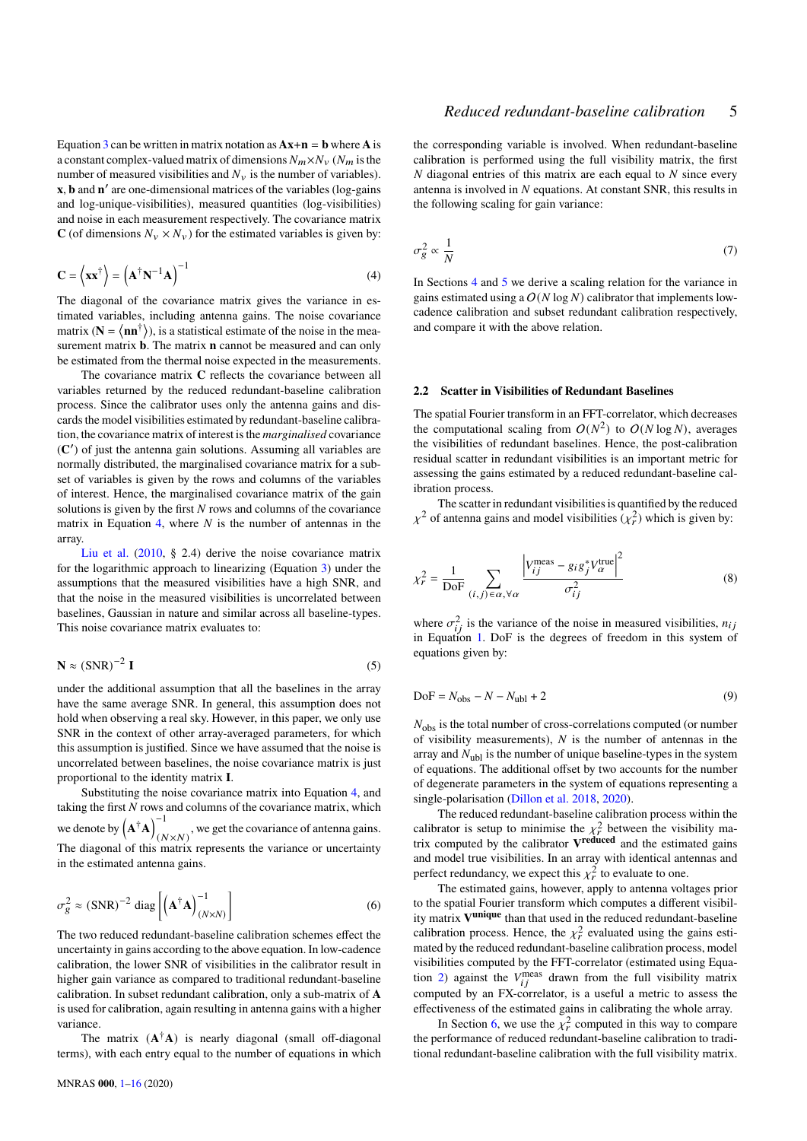Equation [3](#page-3-2) can be written in matrix notation as  $Ax+n = b$  where A is a constant complex-valued matrix of dimensions  $N_m \times N_v$  ( $N_m$  is the number of measured visibilities and  $N_v$  is the number of variables). **x**, **b** and **n**<sup>'</sup> are one-dimensional matrices of the variables (log-gains and log-unique-visibilities), measured quantities (log-visibilities) and noise in each measurement respectively. The covariance matrix **C** (of dimensions  $N_v \times N_v$ ) for the estimated variables is given by:

<span id="page-4-0"></span>
$$
\mathbf{C} = \left\langle \mathbf{x} \mathbf{x}^{\dagger} \right\rangle = \left( \mathbf{A}^{\dagger} \mathbf{N}^{-1} \mathbf{A} \right)^{-1} \tag{4}
$$

The diagonal of the covariance matrix gives the variance in estimated variables, including antenna gains. The noise covariance matrix ( $N = \langle nn^{\dagger} \rangle$ ), is a statistical estimate of the noise in the measurement matrix **b**. The matrix **n** cannot be measured and can only be estimated from the thermal noise expected in the measurements.

The covariance matrix **C** reflects the covariance between all variables returned by the reduced redundant-baseline calibration process. Since the calibrator uses only the antenna gains and discards the model visibilities estimated by redundant-baseline calibration, the covariance matrix of interest is the *marginalised* covariance (**C** 0 ) of just the antenna gain solutions. Assuming all variables are normally distributed, the marginalised covariance matrix for a subset of variables is given by the rows and columns of the variables of interest. Hence, the marginalised covariance matrix of the gain solutions is given by the first  $N$  rows and columns of the covariance matrix in Equation [4,](#page-4-0) where  $N$  is the number of antennas in the array.

[Liu et al.](#page-15-21) [\(2010,](#page-15-21) § 2.4) derive the noise covariance matrix for the logarithmic approach to linearizing (Equation [3\)](#page-3-2) under the assumptions that the measured visibilities have a high SNR, and that the noise in the measured visibilities is uncorrelated between baselines, Gaussian in nature and similar across all baseline-types. This noise covariance matrix evaluates to:

$$
\mathbf{N} \approx (\text{SNR})^{-2} \mathbf{I} \tag{5}
$$

under the additional assumption that all the baselines in the array have the same average SNR. In general, this assumption does not hold when observing a real sky. However, in this paper, we only use SNR in the context of other array-averaged parameters, for which this assumption is justified. Since we have assumed that the noise is uncorrelated between baselines, the noise covariance matrix is just proportional to the identity matrix **I**.

Substituting the noise covariance matrix into Equation [4,](#page-4-0) and taking the first  $N$  rows and columns of the covariance matrix, which we denote by  $(A^{\dagger}A)^{-1}$  $(N \times N)$ , we get the covariance of antenna gains. The diagonal of this matrix represents the variance or uncertainty in the estimated antenna gains.

<span id="page-4-1"></span>
$$
\sigma_g^2 \approx (\text{SNR})^{-2} \text{ diag}\left[ \left( \mathbf{A}^\dagger \mathbf{A} \right)_{(N \times N)}^{-1} \right] \tag{6}
$$

The two reduced redundant-baseline calibration schemes effect the uncertainty in gains according to the above equation. In low-cadence calibration, the lower SNR of visibilities in the calibrator result in higher gain variance as compared to traditional redundant-baseline calibration. In subset redundant calibration, only a sub-matrix of **A** is used for calibration, again resulting in antenna gains with a higher variance.

The matrix  $(A^{\dagger}A)$  is nearly diagonal (small off-diagonal terms), with each entry equal to the number of equations in which

the corresponding variable is involved. When redundant-baseline calibration is performed using the full visibility matrix, the first  $N$  diagonal entries of this matrix are each equal to  $N$  since every antenna is involved in  $N$  equations. At constant SNR, this results in the following scaling for gain variance:

<span id="page-4-2"></span>
$$
\sigma_g^2 \propto \frac{1}{N} \tag{7}
$$

In Sections [4](#page-5-1) and [5](#page-7-0) we derive a scaling relation for the variance in gains estimated using a  $O(N \log N)$  calibrator that implements lowcadence calibration and subset redundant calibration respectively, and compare it with the above relation.

### <span id="page-4-3"></span>**2.2 Scatter in Visibilities of Redundant Baselines**

The spatial Fourier transform in an FFT-correlator, which decreases the computational scaling from  $O(N^2)$  to  $O(N \log N)$ , averages the visibilities of redundant baselines. Hence, the post-calibration residual scatter in redundant visibilities is an important metric for assessing the gains estimated by a reduced redundant-baseline calibration process.

The scatter in redundant visibilities is quantified by the reduced  $\chi^2$  of antenna gains and model visibilities  $(\chi^2_r)$  which is given by:

$$
\chi_r^2 = \frac{1}{\text{DoF}} \sum_{(i,j) \in \alpha, \forall \alpha} \frac{\left| V_{ij}^{\text{meas}} - g_i g_j^* V_{\alpha}^{\text{true}} \right|^2}{\sigma_{ij}^2} \tag{8}
$$

where  $\sigma_{ij}^2$  is the variance of the noise in measured visibilities,  $n_{ij}$ in Equation [1.](#page-3-0) DoF is the degrees of freedom in this system of equations given by:

$$
DoF = Nobs - N - Nubl + 2
$$
\n(9)

 $N_{\rm obs}$  is the total number of cross-correlations computed (or number of visibility measurements),  $N$  is the number of antennas in the array and  $N_{\text{ubl}}$  is the number of unique baseline-types in the system of equations. The additional offset by two accounts for the number of degenerate parameters in the system of equations representing a single-polarisation [\(Dillon et al.](#page-15-29) [2018,](#page-15-29) [2020\)](#page-15-28).

The reduced redundant-baseline calibration process within the calibrator is setup to minimise the  $\chi^2$  between the visibility matrix computed by the calibrator **V reduced** and the estimated gains and model true visibilities. In an array with identical antennas and perfect redundancy, we expect this  $\chi^2_r$  to evaluate to one.

The estimated gains, however, apply to antenna voltages prior to the spatial Fourier transform which computes a different visibility matrix **V unique** than that used in the reduced redundant-baseline calibration process. Hence, the  $\chi^2$  evaluated using the gains estimated by the reduced redundant-baseline calibration process, model visibilities computed by the FFT-correlator (estimated using Equa-tion [2\)](#page-3-1) against the  $V_{ii}^{meas}$  drawn from the full visibility matrix computed by an FX-correlator, is a useful a metric to assess the effectiveness of the estimated gains in calibrating the whole array.

In Section [6,](#page-10-0) we use the  $\chi^2$  computed in this way to compare the performance of reduced redundant-baseline calibration to traditional redundant-baseline calibration with the full visibility matrix.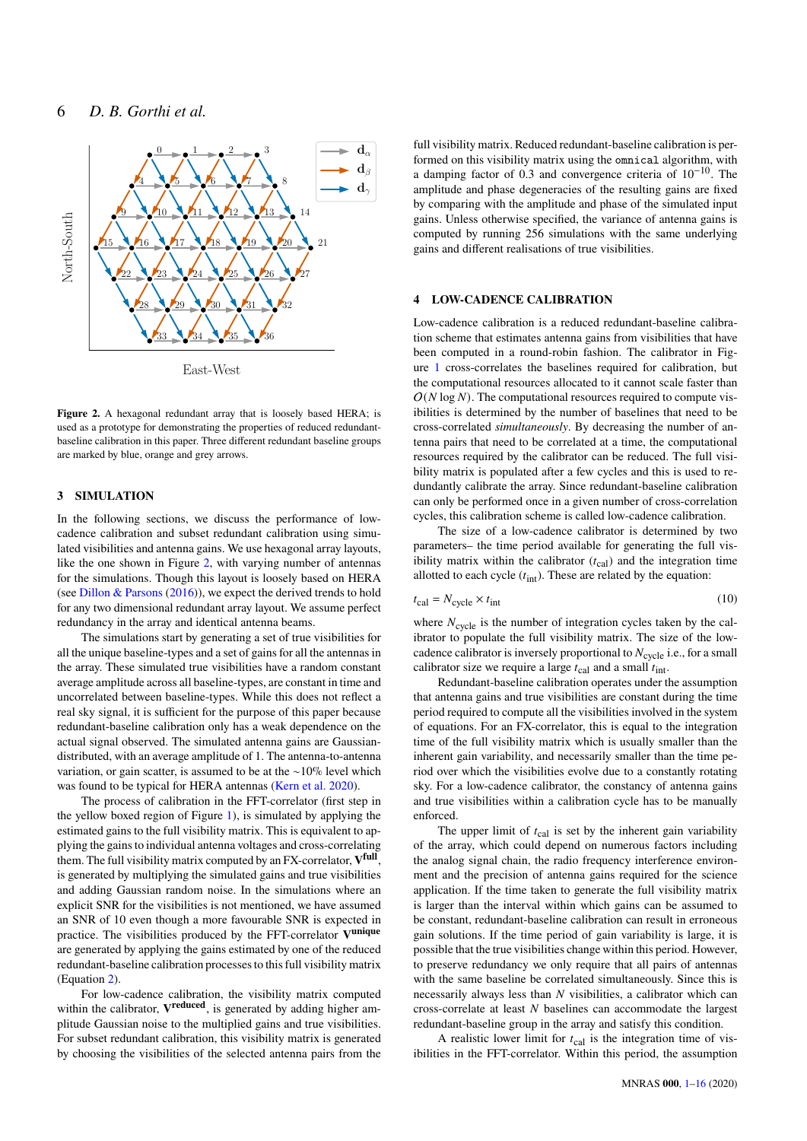

<span id="page-5-2"></span>East-West

**Figure 2.** A hexagonal redundant array that is loosely based HERA; is used as a prototype for demonstrating the properties of reduced redundantbaseline calibration in this paper. Three different redundant baseline groups are marked by blue, orange and grey arrows.

# <span id="page-5-0"></span>**3 SIMULATION**

In the following sections, we discuss the performance of lowcadence calibration and subset redundant calibration using simulated visibilities and antenna gains. We use hexagonal array layouts, like the one shown in Figure [2,](#page-5-2) with varying number of antennas for the simulations. Though this layout is loosely based on HERA (see [Dillon & Parsons](#page-15-31) [\(2016\)](#page-15-31)), we expect the derived trends to hold for any two dimensional redundant array layout. We assume perfect redundancy in the array and identical antenna beams.

The simulations start by generating a set of true visibilities for all the unique baseline-types and a set of gains for all the antennas in the array. These simulated true visibilities have a random constant average amplitude across all baseline-types, are constant in time and uncorrelated between baseline-types. While this does not reflect a real sky signal, it is sufficient for the purpose of this paper because redundant-baseline calibration only has a weak dependence on the actual signal observed. The simulated antenna gains are Gaussiandistributed, with an average amplitude of 1. The antenna-to-antenna variation, or gain scatter, is assumed to be at the ∼10% level which was found to be typical for HERA antennas [\(Kern et al.](#page-15-32) [2020\)](#page-15-32).

The process of calibration in the FFT-correlator (first step in the yellow boxed region of Figure [1\)](#page-1-0), is simulated by applying the estimated gains to the full visibility matrix. This is equivalent to applying the gains to individual antenna voltages and cross-correlating them. The full visibility matrix computed by an FX-correlator, **V full** , is generated by multiplying the simulated gains and true visibilities and adding Gaussian random noise. In the simulations where an explicit SNR for the visibilities is not mentioned, we have assumed an SNR of 10 even though a more favourable SNR is expected in practice. The visibilities produced by the FFT-correlator **V unique** are generated by applying the gains estimated by one of the reduced redundant-baseline calibration processes to this full visibility matrix (Equation [2\)](#page-3-1).

For low-cadence calibration, the visibility matrix computed within the calibrator, **V reduced**, is generated by adding higher amplitude Gaussian noise to the multiplied gains and true visibilities. For subset redundant calibration, this visibility matrix is generated by choosing the visibilities of the selected antenna pairs from the full visibility matrix. Reduced redundant-baseline calibration is performed on this visibility matrix using the omnical algorithm, with a damping factor of 0.3 and convergence criteria of 10−10. The amplitude and phase degeneracies of the resulting gains are fixed by comparing with the amplitude and phase of the simulated input gains. Unless otherwise specified, the variance of antenna gains is computed by running 256 simulations with the same underlying gains and different realisations of true visibilities.

### <span id="page-5-1"></span>**4 LOW-CADENCE CALIBRATION**

Low-cadence calibration is a reduced redundant-baseline calibration scheme that estimates antenna gains from visibilities that have been computed in a round-robin fashion. The calibrator in Figure [1](#page-1-0) cross-correlates the baselines required for calibration, but the computational resources allocated to it cannot scale faster than  $O(N \log N)$ . The computational resources required to compute visibilities is determined by the number of baselines that need to be cross-correlated *simultaneously*. By decreasing the number of antenna pairs that need to be correlated at a time, the computational resources required by the calibrator can be reduced. The full visibility matrix is populated after a few cycles and this is used to redundantly calibrate the array. Since redundant-baseline calibration can only be performed once in a given number of cross-correlation cycles, this calibration scheme is called low-cadence calibration.

The size of a low-cadence calibrator is determined by two parameters– the time period available for generating the full visibility matrix within the calibrator  $(t_{\text{cal}})$  and the integration time allotted to each cycle  $(t_{int})$ . These are related by the equation:

$$
t_{\rm cal} = N_{\rm cycle} \times t_{\rm int} \tag{10}
$$

where  $N_{\text{cycle}}$  is the number of integration cycles taken by the calibrator to populate the full visibility matrix. The size of the lowcadence calibrator is inversely proportional to  $N_{\text{cycle}}$  i.e., for a small calibrator size we require a large  $t_{\text{cal}}$  and a small  $t_{\text{int}}$ .

Redundant-baseline calibration operates under the assumption that antenna gains and true visibilities are constant during the time period required to compute all the visibilities involved in the system of equations. For an FX-correlator, this is equal to the integration time of the full visibility matrix which is usually smaller than the inherent gain variability, and necessarily smaller than the time period over which the visibilities evolve due to a constantly rotating sky. For a low-cadence calibrator, the constancy of antenna gains and true visibilities within a calibration cycle has to be manually enforced.

The upper limit of  $t_{\text{cal}}$  is set by the inherent gain variability of the array, which could depend on numerous factors including the analog signal chain, the radio frequency interference environment and the precision of antenna gains required for the science application. If the time taken to generate the full visibility matrix is larger than the interval within which gains can be assumed to be constant, redundant-baseline calibration can result in erroneous gain solutions. If the time period of gain variability is large, it is possible that the true visibilities change within this period. However, to preserve redundancy we only require that all pairs of antennas with the same baseline be correlated simultaneously. Since this is necessarily always less than  $N$  visibilities, a calibrator which can  $cross-correlate$  at least  $N$  baselines can accommodate the largest redundant-baseline group in the array and satisfy this condition.

A realistic lower limit for  $t_{\text{cal}}$  is the integration time of visibilities in the FFT-correlator. Within this period, the assumption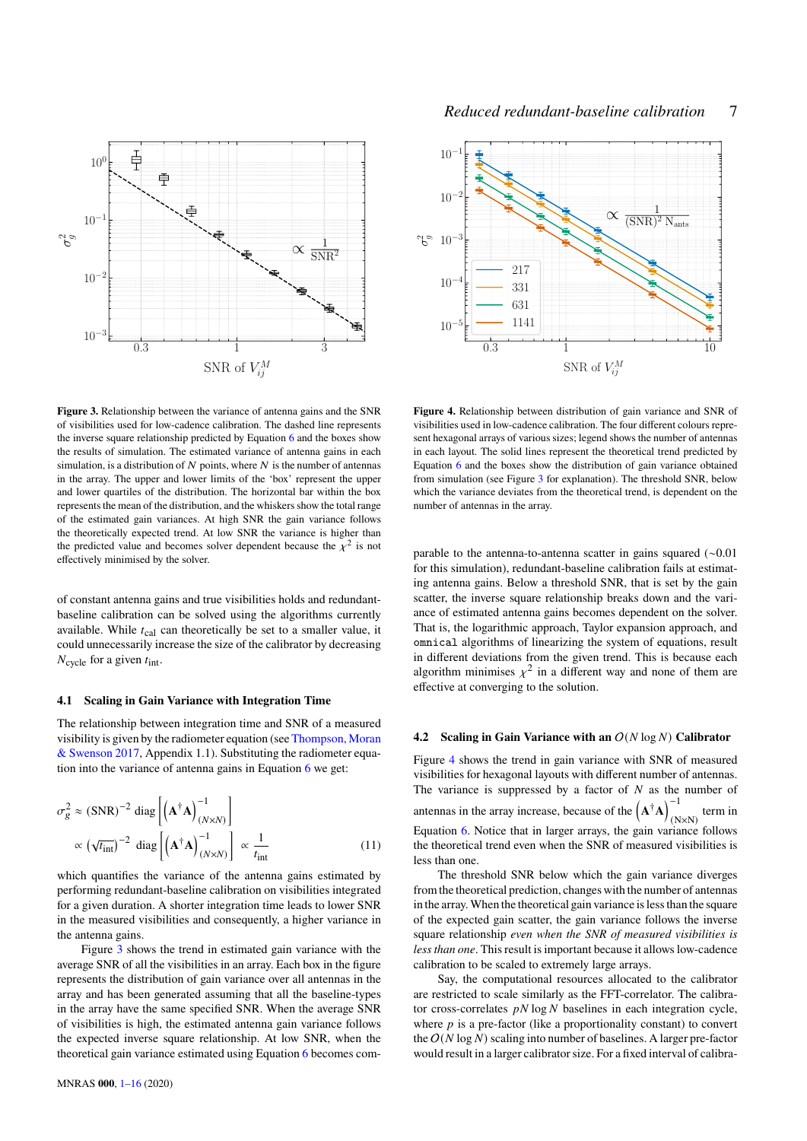

<span id="page-6-0"></span>**Figure 3.** Relationship between the variance of antenna gains and the SNR of visibilities used for low-cadence calibration. The dashed line represents the inverse square relationship predicted by Equation [6](#page-4-1) and the boxes show the results of simulation. The estimated variance of antenna gains in each simulation, is a distribution of  $N$  points, where  $N$  is the number of antennas in the array. The upper and lower limits of the 'box' represent the upper and lower quartiles of the distribution. The horizontal bar within the box represents the mean of the distribution, and the whiskers show the total range of the estimated gain variances. At high SNR the gain variance follows the theoretically expected trend. At low SNR the variance is higher than the predicted value and becomes solver dependent because the  $\chi^2$  is not effectively minimised by the solver.

of constant antenna gains and true visibilities holds and redundantbaseline calibration can be solved using the algorithms currently available. While  $t_{\text{cal}}$  can theoretically be set to a smaller value, it could unnecessarily increase the size of the calibrator by decreasing  $N_{\text{cycle}}$  for a given  $t_{\text{int}}$ .

#### **4.1 Scaling in Gain Variance with Integration Time**

The relationship between integration time and SNR of a measured visibility is given by the radiometer equation (see [Thompson, Moran](#page-15-33) [& Swenson](#page-15-33) [2017,](#page-15-33) Appendix 1.1). Substituting the radiometer equation into the variance of antenna gains in Equation [6](#page-4-1) we get:

$$
\sigma_g^2 \approx (\text{SNR})^{-2} \text{ diag}\left[\left(\mathbf{A}^\dagger \mathbf{A}\right)_{(N \times N)}^{-1}\right] \times \left(\sqrt{t_{\text{int}}}\right)^{-2} \text{ diag}\left[\left(\mathbf{A}^\dagger \mathbf{A}\right)_{(N \times N)}^{-1}\right] \propto \frac{1}{t_{\text{int}}} \tag{11}
$$

which quantifies the variance of the antenna gains estimated by performing redundant-baseline calibration on visibilities integrated for a given duration. A shorter integration time leads to lower SNR in the measured visibilities and consequently, a higher variance in the antenna gains.

Figure [3](#page-6-0) shows the trend in estimated gain variance with the average SNR of all the visibilities in an array. Each box in the figure represents the distribution of gain variance over all antennas in the array and has been generated assuming that all the baseline-types in the array have the same specified SNR. When the average SNR of visibilities is high, the estimated antenna gain variance follows the expected inverse square relationship. At low SNR, when the theoretical gain variance estimated using Equation [6](#page-4-1) becomes com-



<span id="page-6-1"></span>**Figure 4.** Relationship between distribution of gain variance and SNR of visibilities used in low-cadence calibration. The four different colours represent hexagonal arrays of various sizes; legend shows the number of antennas in each layout. The solid lines represent the theoretical trend predicted by Equation [6](#page-4-1) and the boxes show the distribution of gain variance obtained from simulation (see Figure [3](#page-6-0) for explanation). The threshold SNR, below which the variance deviates from the theoretical trend, is dependent on the number of antennas in the array.

parable to the antenna-to-antenna scatter in gains squared (∼0.01 for this simulation), redundant-baseline calibration fails at estimating antenna gains. Below a threshold SNR, that is set by the gain scatter, the inverse square relationship breaks down and the variance of estimated antenna gains becomes dependent on the solver. That is, the logarithmic approach, Taylor expansion approach, and omnical algorithms of linearizing the system of equations, result in different deviations from the given trend. This is because each algorithm minimises  $\chi^2$  in a different way and none of them are effective at converging to the solution.

#### **4.2 Scaling in Gain Variance with an**  $O(N \log N)$  Calibrator

Figure [4](#page-6-1) shows the trend in gain variance with SNR of measured visibilities for hexagonal layouts with different number of antennas. The variance is suppressed by a factor of  $N$  as the number of antennas in the array increase, because of the  $(A^{\dagger}A)^{-1}$  $(N \times N)$  term in Equation [6.](#page-4-1) Notice that in larger arrays, the gain variance follows the theoretical trend even when the SNR of measured visibilities is less than one.

<span id="page-6-2"></span>The threshold SNR below which the gain variance diverges from the theoretical prediction, changes with the number of antennas in the array.When the theoretical gain variance is less than the square of the expected gain scatter, the gain variance follows the inverse square relationship *even when the SNR of measured visibilities is less than one*. This result is important because it allows low-cadence calibration to be scaled to extremely large arrays.

Say, the computational resources allocated to the calibrator are restricted to scale similarly as the FFT-correlator. The calibrator cross-correlates  $pN \log N$  baselines in each integration cycle, where  $p$  is a pre-factor (like a proportionality constant) to convert the  $O(N \log N)$  scaling into number of baselines. A larger pre-factor would result in a larger calibrator size. For a fixed interval of calibra-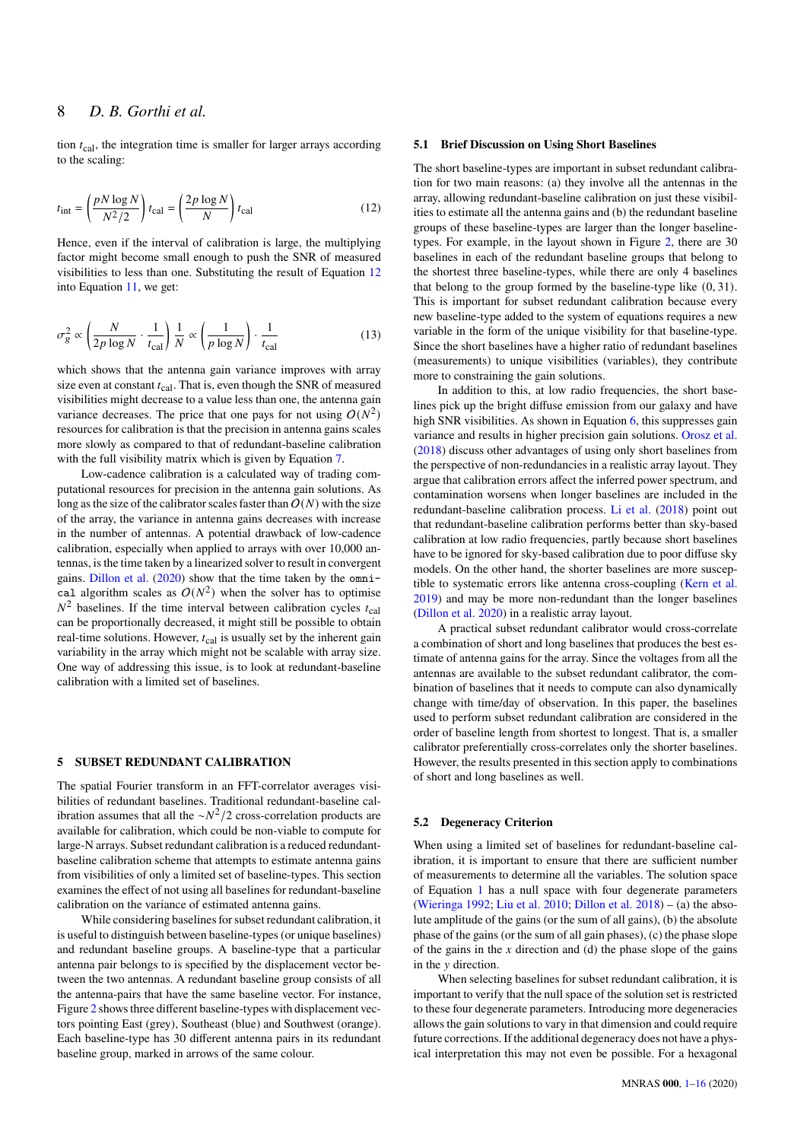tion  $t_{\text{cal}}$ , the integration time is smaller for larger arrays according to the scaling:

<span id="page-7-1"></span>
$$
t_{\rm int} = \left(\frac{pN\log N}{N^2/2}\right)t_{\rm cal} = \left(\frac{2p\log N}{N}\right)t_{\rm cal}
$$
 (12)

Hence, even if the interval of calibration is large, the multiplying factor might become small enough to push the SNR of measured visibilities to less than one. Substituting the result of Equation [12](#page-7-1) into Equation [11,](#page-6-2) we get:

<span id="page-7-2"></span>
$$
\sigma_g^2 \propto \left(\frac{N}{2p \log N} \cdot \frac{1}{t_{\text{cal}}}\right) \frac{1}{N} \propto \left(\frac{1}{p \log N}\right) \cdot \frac{1}{t_{\text{cal}}}
$$
(13)

which shows that the antenna gain variance improves with array size even at constant  $t_{\text{cal}}$ . That is, even though the SNR of measured visibilities might decrease to a value less than one, the antenna gain variance decreases. The price that one pays for not using  $O(N^2)$ resources for calibration is that the precision in antenna gains scales more slowly as compared to that of redundant-baseline calibration with the full visibility matrix which is given by Equation [7.](#page-4-2)

Low-cadence calibration is a calculated way of trading computational resources for precision in the antenna gain solutions. As long as the size of the calibrator scales faster than  $O(N)$  with the size of the array, the variance in antenna gains decreases with increase in the number of antennas. A potential drawback of low-cadence calibration, especially when applied to arrays with over 10,000 antennas, is the time taken by a linearized solver to result in convergent gains. [Dillon et al.](#page-15-28) [\(2020\)](#page-15-28) show that the time taken by the omnical algorithm scales as  $O(N^2)$  when the solver has to optimise  $N^2$  baselines. If the time interval between calibration cycles  $t_{\text{cal}}$ can be proportionally decreased, it might still be possible to obtain real-time solutions. However,  $t_{\text{cal}}$  is usually set by the inherent gain variability in the array which might not be scalable with array size. One way of addressing this issue, is to look at redundant-baseline calibration with a limited set of baselines.

#### <span id="page-7-0"></span>**5 SUBSET REDUNDANT CALIBRATION**

The spatial Fourier transform in an FFT-correlator averages visibilities of redundant baselines. Traditional redundant-baseline calibration assumes that all the  $\sim N^2/2$  cross-correlation products are available for calibration, which could be non-viable to compute for large-N arrays. Subset redundant calibration is a reduced redundantbaseline calibration scheme that attempts to estimate antenna gains from visibilities of only a limited set of baseline-types. This section examines the effect of not using all baselines for redundant-baseline calibration on the variance of estimated antenna gains.

While considering baselines for subset redundant calibration, it is useful to distinguish between baseline-types (or unique baselines) and redundant baseline groups. A baseline-type that a particular antenna pair belongs to is specified by the displacement vector between the two antennas. A redundant baseline group consists of all the antenna-pairs that have the same baseline vector. For instance, Figure [2](#page-5-2) shows three different baseline-types with displacement vectors pointing East (grey), Southeast (blue) and Southwest (orange). Each baseline-type has 30 different antenna pairs in its redundant baseline group, marked in arrows of the same colour.

### **5.1 Brief Discussion on Using Short Baselines**

The short baseline-types are important in subset redundant calibration for two main reasons: (a) they involve all the antennas in the array, allowing redundant-baseline calibration on just these visibilities to estimate all the antenna gains and (b) the redundant baseline groups of these baseline-types are larger than the longer baselinetypes. For example, in the layout shown in Figure [2,](#page-5-2) there are 30 baselines in each of the redundant baseline groups that belong to the shortest three baseline-types, while there are only 4 baselines that belong to the group formed by the baseline-type like (0, 31). This is important for subset redundant calibration because every new baseline-type added to the system of equations requires a new variable in the form of the unique visibility for that baseline-type. Since the short baselines have a higher ratio of redundant baselines (measurements) to unique visibilities (variables), they contribute more to constraining the gain solutions.

In addition to this, at low radio frequencies, the short baselines pick up the bright diffuse emission from our galaxy and have high SNR visibilities. As shown in Equation [6,](#page-4-1) this suppresses gain variance and results in higher precision gain solutions. [Orosz et al.](#page-15-34) [\(2018\)](#page-15-34) discuss other advantages of using only short baselines from the perspective of non-redundancies in a realistic array layout. They argue that calibration errors affect the inferred power spectrum, and contamination worsens when longer baselines are included in the redundant-baseline calibration process. [Li et al.](#page-15-30) [\(2018\)](#page-15-30) point out that redundant-baseline calibration performs better than sky-based calibration at low radio frequencies, partly because short baselines have to be ignored for sky-based calibration due to poor diffuse sky models. On the other hand, the shorter baselines are more susceptible to systematic errors like antenna cross-coupling [\(Kern et al.](#page-15-35) [2019\)](#page-15-35) and may be more non-redundant than the longer baselines [\(Dillon et al.](#page-15-28) [2020\)](#page-15-28) in a realistic array layout.

A practical subset redundant calibrator would cross-correlate a combination of short and long baselines that produces the best estimate of antenna gains for the array. Since the voltages from all the antennas are available to the subset redundant calibrator, the combination of baselines that it needs to compute can also dynamically change with time/day of observation. In this paper, the baselines used to perform subset redundant calibration are considered in the order of baseline length from shortest to longest. That is, a smaller calibrator preferentially cross-correlates only the shorter baselines. However, the results presented in this section apply to combinations of short and long baselines as well.

### **5.2 Degeneracy Criterion**

When using a limited set of baselines for redundant-baseline calibration, it is important to ensure that there are sufficient number of measurements to determine all the variables. The solution space of Equation [1](#page-3-0) has a null space with four degenerate parameters [\(Wieringa](#page-15-20) [1992;](#page-15-20) [Liu et al.](#page-15-21) [2010;](#page-15-21) [Dillon et al.](#page-15-29) [2018\)](#page-15-29) – (a) the absolute amplitude of the gains (or the sum of all gains), (b) the absolute phase of the gains (or the sum of all gain phases), (c) the phase slope of the gains in the  $x$  direction and (d) the phase slope of the gains in the *y* direction.

When selecting baselines for subset redundant calibration, it is important to verify that the null space of the solution set is restricted to these four degenerate parameters. Introducing more degeneracies allows the gain solutions to vary in that dimension and could require future corrections. If the additional degeneracy does not have a physical interpretation this may not even be possible. For a hexagonal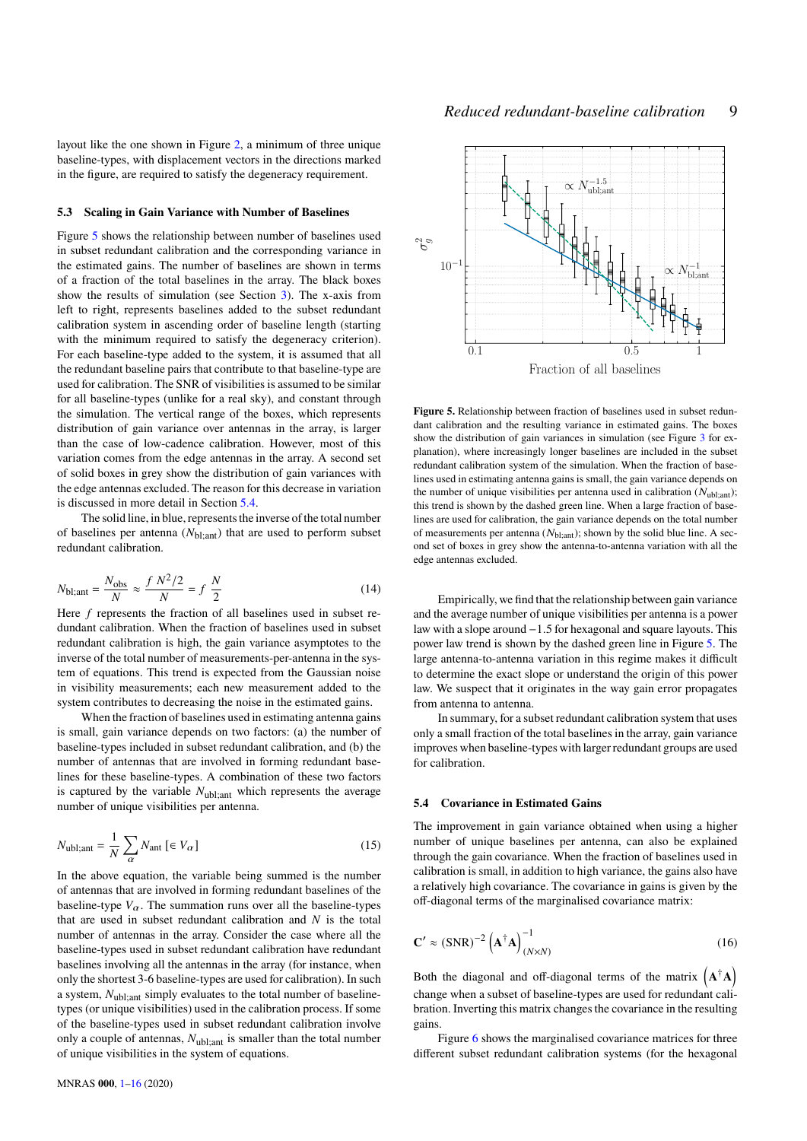layout like the one shown in Figure [2,](#page-5-2) a minimum of three unique baseline-types, with displacement vectors in the directions marked in the figure, are required to satisfy the degeneracy requirement.

#### **5.3 Scaling in Gain Variance with Number of Baselines**

Figure [5](#page-8-0) shows the relationship between number of baselines used in subset redundant calibration and the corresponding variance in the estimated gains. The number of baselines are shown in terms of a fraction of the total baselines in the array. The black boxes show the results of simulation (see Section [3\)](#page-5-0). The x-axis from left to right, represents baselines added to the subset redundant calibration system in ascending order of baseline length (starting with the minimum required to satisfy the degeneracy criterion). For each baseline-type added to the system, it is assumed that all the redundant baseline pairs that contribute to that baseline-type are used for calibration. The SNR of visibilities is assumed to be similar for all baseline-types (unlike for a real sky), and constant through the simulation. The vertical range of the boxes, which represents distribution of gain variance over antennas in the array, is larger than the case of low-cadence calibration. However, most of this variation comes from the edge antennas in the array. A second set of solid boxes in grey show the distribution of gain variances with the edge antennas excluded. The reason for this decrease in variation is discussed in more detail in Section [5.4.](#page-8-1)

The solid line, in blue, represents the inverse of the total number of baselines per antenna  $(N_{bl;ant})$  that are used to perform subset redundant calibration.

<span id="page-8-2"></span>
$$
N_{\text{bl;ant}} = \frac{N_{\text{obs}}}{N} \approx \frac{f N^2 / 2}{N} = f \frac{N}{2}
$$
 (14)

Here  $f$  represents the fraction of all baselines used in subset redundant calibration. When the fraction of baselines used in subset redundant calibration is high, the gain variance asymptotes to the inverse of the total number of measurements-per-antenna in the system of equations. This trend is expected from the Gaussian noise in visibility measurements; each new measurement added to the system contributes to decreasing the noise in the estimated gains.

When the fraction of baselines used in estimating antenna gains is small, gain variance depends on two factors: (a) the number of baseline-types included in subset redundant calibration, and (b) the number of antennas that are involved in forming redundant baselines for these baseline-types. A combination of these two factors is captured by the variable  $N_{\text{ubl;ant}}$  which represents the average number of unique visibilities per antenna.

$$
N_{\text{ubl;ant}} = \frac{1}{N} \sum_{\alpha} N_{\text{ant}} \left[ \in V_{\alpha} \right] \tag{15}
$$

In the above equation, the variable being summed is the number of antennas that are involved in forming redundant baselines of the baseline-type  $V_{\alpha}$ . The summation runs over all the baseline-types that are used in subset redundant calibration and  $N$  is the total number of antennas in the array. Consider the case where all the baseline-types used in subset redundant calibration have redundant baselines involving all the antennas in the array (for instance, when only the shortest 3-6 baseline-types are used for calibration). In such a system,  $N_{\text{ubl;ant}}$  simply evaluates to the total number of baselinetypes (or unique visibilities) used in the calibration process. If some of the baseline-types used in subset redundant calibration involve only a couple of antennas,  $N_{ubl;ant}$  is smaller than the total number of unique visibilities in the system of equations.

MNRAS **000**, [1](#page-0-0)[–16](#page-15-0) (2020)



<span id="page-8-0"></span>**Figure 5.** Relationship between fraction of baselines used in subset redundant calibration and the resulting variance in estimated gains. The boxes show the distribution of gain variances in simulation (see Figure [3](#page-6-0) for explanation), where increasingly longer baselines are included in the subset redundant calibration system of the simulation. When the fraction of baselines used in estimating antenna gains is small, the gain variance depends on the number of unique visibilities per antenna used in calibration  $(N_{ubl:ant})$ ; this trend is shown by the dashed green line. When a large fraction of baselines are used for calibration, the gain variance depends on the total number of measurements per antenna ( $N<sub>bl:ant</sub>$ ); shown by the solid blue line. A second set of boxes in grey show the antenna-to-antenna variation with all the edge antennas excluded.

Empirically, we find that the relationship between gain variance and the average number of unique visibilities per antenna is a power law with a slope around −1.5 for hexagonal and square layouts. This power law trend is shown by the dashed green line in Figure [5.](#page-8-0) The large antenna-to-antenna variation in this regime makes it difficult to determine the exact slope or understand the origin of this power law. We suspect that it originates in the way gain error propagates from antenna to antenna.

In summary, for a subset redundant calibration system that uses only a small fraction of the total baselines in the array, gain variance improves when baseline-types with larger redundant groups are used for calibration.

### <span id="page-8-1"></span>**5.4 Covariance in Estimated Gains**

The improvement in gain variance obtained when using a higher number of unique baselines per antenna, can also be explained through the gain covariance. When the fraction of baselines used in calibration is small, in addition to high variance, the gains also have a relatively high covariance. The covariance in gains is given by the off-diagonal terms of the marginalised covariance matrix:

<span id="page-8-3"></span>
$$
\mathbf{C}' \approx (\text{SNR})^{-2} \left(\mathbf{A}^{\dagger} \mathbf{A}\right)_{(N \times N)}^{-1} \tag{16}
$$

Both the diagonal and off-diagonal terms of the matrix  $(A^{\dagger}A)$ change when a subset of baseline-types are used for redundant calibration. Inverting this matrix changes the covariance in the resulting gains.

Figure [6](#page-9-0) shows the marginalised covariance matrices for three different subset redundant calibration systems (for the hexagonal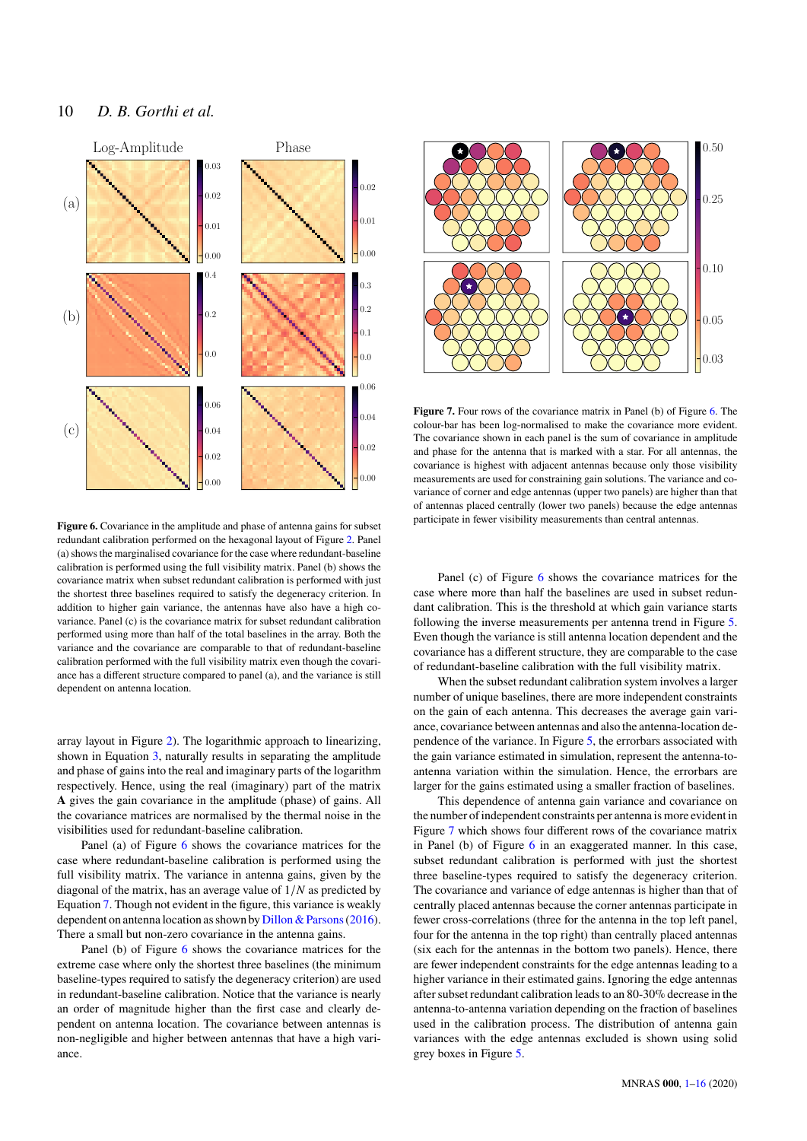

<span id="page-9-0"></span>**Figure 6.** Covariance in the amplitude and phase of antenna gains for subset redundant calibration performed on the hexagonal layout of Figure [2.](#page-5-2) Panel (a) shows the marginalised covariance for the case where redundant-baseline calibration is performed using the full visibility matrix. Panel (b) shows the covariance matrix when subset redundant calibration is performed with just the shortest three baselines required to satisfy the degeneracy criterion. In addition to higher gain variance, the antennas have also have a high covariance. Panel (c) is the covariance matrix for subset redundant calibration performed using more than half of the total baselines in the array. Both the variance and the covariance are comparable to that of redundant-baseline calibration performed with the full visibility matrix even though the covariance has a different structure compared to panel (a), and the variance is still dependent on antenna location.

array layout in Figure [2\)](#page-5-2). The logarithmic approach to linearizing, shown in Equation [3,](#page-3-2) naturally results in separating the amplitude and phase of gains into the real and imaginary parts of the logarithm respectively. Hence, using the real (imaginary) part of the matrix **A** gives the gain covariance in the amplitude (phase) of gains. All the covariance matrices are normalised by the thermal noise in the visibilities used for redundant-baseline calibration.

Panel (a) of Figure [6](#page-9-0) shows the covariance matrices for the case where redundant-baseline calibration is performed using the full visibility matrix. The variance in antenna gains, given by the diagonal of the matrix, has an average value of  $1/N$  as predicted by Equation [7.](#page-4-2) Though not evident in the figure, this variance is weakly dependent on antenna location as shown by [Dillon & Parsons\(2016\)](#page-15-31). There a small but non-zero covariance in the antenna gains.

Panel (b) of Figure [6](#page-9-0) shows the covariance matrices for the extreme case where only the shortest three baselines (the minimum baseline-types required to satisfy the degeneracy criterion) are used in redundant-baseline calibration. Notice that the variance is nearly an order of magnitude higher than the first case and clearly dependent on antenna location. The covariance between antennas is non-negligible and higher between antennas that have a high variance.



<span id="page-9-1"></span>**Figure 7.** Four rows of the covariance matrix in Panel (b) of Figure [6.](#page-9-0) The colour-bar has been log-normalised to make the covariance more evident. The covariance shown in each panel is the sum of covariance in amplitude and phase for the antenna that is marked with a star. For all antennas, the covariance is highest with adjacent antennas because only those visibility measurements are used for constraining gain solutions. The variance and covariance of corner and edge antennas (upper two panels) are higher than that of antennas placed centrally (lower two panels) because the edge antennas participate in fewer visibility measurements than central antennas.

Panel (c) of Figure [6](#page-9-0) shows the covariance matrices for the case where more than half the baselines are used in subset redundant calibration. This is the threshold at which gain variance starts following the inverse measurements per antenna trend in Figure [5.](#page-8-0) Even though the variance is still antenna location dependent and the covariance has a different structure, they are comparable to the case of redundant-baseline calibration with the full visibility matrix.

When the subset redundant calibration system involves a larger number of unique baselines, there are more independent constraints on the gain of each antenna. This decreases the average gain variance, covariance between antennas and also the antenna-location dependence of the variance. In Figure [5,](#page-8-0) the errorbars associated with the gain variance estimated in simulation, represent the antenna-toantenna variation within the simulation. Hence, the errorbars are larger for the gains estimated using a smaller fraction of baselines.

This dependence of antenna gain variance and covariance on the number of independent constraints per antenna is more evident in Figure [7](#page-9-1) which shows four different rows of the covariance matrix in Panel (b) of Figure [6](#page-9-0) in an exaggerated manner. In this case, subset redundant calibration is performed with just the shortest three baseline-types required to satisfy the degeneracy criterion. The covariance and variance of edge antennas is higher than that of centrally placed antennas because the corner antennas participate in fewer cross-correlations (three for the antenna in the top left panel, four for the antenna in the top right) than centrally placed antennas (six each for the antennas in the bottom two panels). Hence, there are fewer independent constraints for the edge antennas leading to a higher variance in their estimated gains. Ignoring the edge antennas after subset redundant calibration leads to an 80-30% decrease in the antenna-to-antenna variation depending on the fraction of baselines used in the calibration process. The distribution of antenna gain variances with the edge antennas excluded is shown using solid grey boxes in Figure [5.](#page-8-0)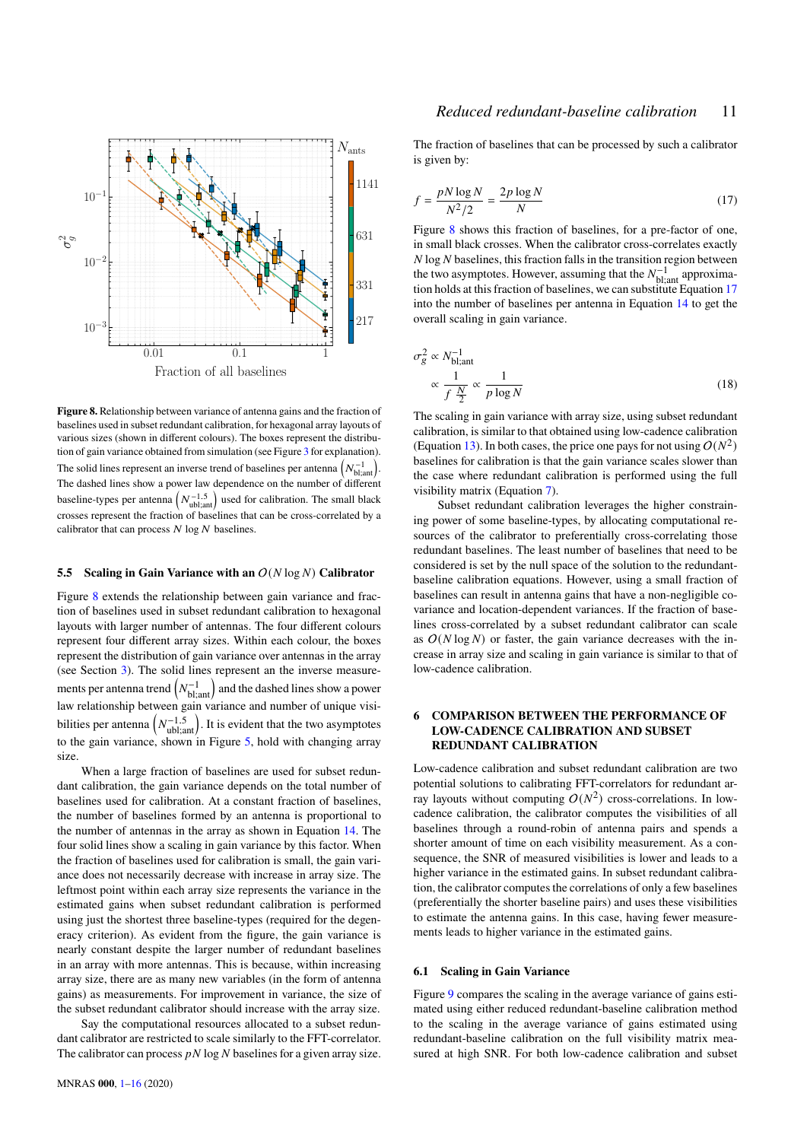

<span id="page-10-1"></span>**Figure 8.** Relationship between variance of antenna gains and the fraction of baselines used in subset redundant calibration, for hexagonal array layouts of various sizes (shown in different colours). The boxes represent the distribution of gain variance obtained from simulation (see Figure [3](#page-6-0) for explanation). The solid lines represent an inverse trend of baselines per antenna  $\left(N_{\rm bl;ant}^{-1}\right)$ . The dashed lines show a power law dependence on the number of different baseline-types per antenna  $(N_{\text{ubl;ant}}^{-1.5})$  used for calibration. The small black crosses represent the fraction of baselines that can be cross-correlated by a calibrator that can process  $N \log N$  baselines.

#### **5.5 Scaling in Gain Variance with an**  $O(N \log N)$  Calibrator

Figure [8](#page-10-1) extends the relationship between gain variance and fraction of baselines used in subset redundant calibration to hexagonal layouts with larger number of antennas. The four different colours represent four different array sizes. Within each colour, the boxes represent the distribution of gain variance over antennas in the array (see Section [3\)](#page-5-0). The solid lines represent an the inverse measurements per antenna trend  $\left(N_{\rm bl;ant}^{-1}\right)$  and the dashed lines show a power law relationship between gain variance and number of unique visibilities per antenna  $\left(N_{\text{ubl;ant}}^{-1.5}\right)$ . It is evident that the two asymptotes to the gain variance, shown in Figure [5,](#page-8-0) hold with changing array size.

When a large fraction of baselines are used for subset redundant calibration, the gain variance depends on the total number of baselines used for calibration. At a constant fraction of baselines, the number of baselines formed by an antenna is proportional to the number of antennas in the array as shown in Equation [14.](#page-8-2) The four solid lines show a scaling in gain variance by this factor. When the fraction of baselines used for calibration is small, the gain variance does not necessarily decrease with increase in array size. The leftmost point within each array size represents the variance in the estimated gains when subset redundant calibration is performed using just the shortest three baseline-types (required for the degeneracy criterion). As evident from the figure, the gain variance is nearly constant despite the larger number of redundant baselines in an array with more antennas. This is because, within increasing array size, there are as many new variables (in the form of antenna gains) as measurements. For improvement in variance, the size of the subset redundant calibrator should increase with the array size.

Say the computational resources allocated to a subset redundant calibrator are restricted to scale similarly to the FFT-correlator. The calibrator can process  $pN \log N$  baselines for a given array size.

# *Reduced redundant-baseline calibration* 11

The fraction of baselines that can be processed by such a calibrator is given by:

<span id="page-10-2"></span>
$$
f = \frac{pN\log N}{N^2/2} = \frac{2p\log N}{N}
$$
\n(17)

Figure [8](#page-10-1) shows this fraction of baselines, for a pre-factor of one, in small black crosses. When the calibrator cross-correlates exactly  $N \log N$  baselines, this fraction falls in the transition region between the two asymptotes. However, assuming that the  $N_{\text{bl,ant}}^{-1}$  approximation holds at this fraction of baselines, we can substitute Equation [17](#page-10-2) into the number of baselines per antenna in Equation [14](#page-8-2) to get the overall scaling in gain variance.

<span id="page-10-3"></span>
$$
\sigma_g^2 \propto N_{\text{bl;ant}}^{-1}
$$
  
 
$$
\propto \frac{1}{f \frac{N}{2}} \propto \frac{1}{p \log N}
$$
 (18)

The scaling in gain variance with array size, using subset redundant calibration, is similar to that obtained using low-cadence calibration (Equation [13\)](#page-7-2). In both cases, the price one pays for not using  $O(N^2)$ baselines for calibration is that the gain variance scales slower than the case where redundant calibration is performed using the full visibility matrix (Equation [7\)](#page-4-2).

Subset redundant calibration leverages the higher constraining power of some baseline-types, by allocating computational resources of the calibrator to preferentially cross-correlating those redundant baselines. The least number of baselines that need to be considered is set by the null space of the solution to the redundantbaseline calibration equations. However, using a small fraction of baselines can result in antenna gains that have a non-negligible covariance and location-dependent variances. If the fraction of baselines cross-correlated by a subset redundant calibrator can scale as  $O(N \log N)$  or faster, the gain variance decreases with the increase in array size and scaling in gain variance is similar to that of low-cadence calibration.

# <span id="page-10-0"></span>**6 COMPARISON BETWEEN THE PERFORMANCE OF LOW-CADENCE CALIBRATION AND SUBSET REDUNDANT CALIBRATION**

Low-cadence calibration and subset redundant calibration are two potential solutions to calibrating FFT-correlators for redundant array layouts without computing  $O(N^2)$  cross-correlations. In lowcadence calibration, the calibrator computes the visibilities of all baselines through a round-robin of antenna pairs and spends a shorter amount of time on each visibility measurement. As a consequence, the SNR of measured visibilities is lower and leads to a higher variance in the estimated gains. In subset redundant calibration, the calibrator computes the correlations of only a few baselines (preferentially the shorter baseline pairs) and uses these visibilities to estimate the antenna gains. In this case, having fewer measurements leads to higher variance in the estimated gains.

#### **6.1 Scaling in Gain Variance**

Figure [9](#page-11-0) compares the scaling in the average variance of gains estimated using either reduced redundant-baseline calibration method to the scaling in the average variance of gains estimated using redundant-baseline calibration on the full visibility matrix measured at high SNR. For both low-cadence calibration and subset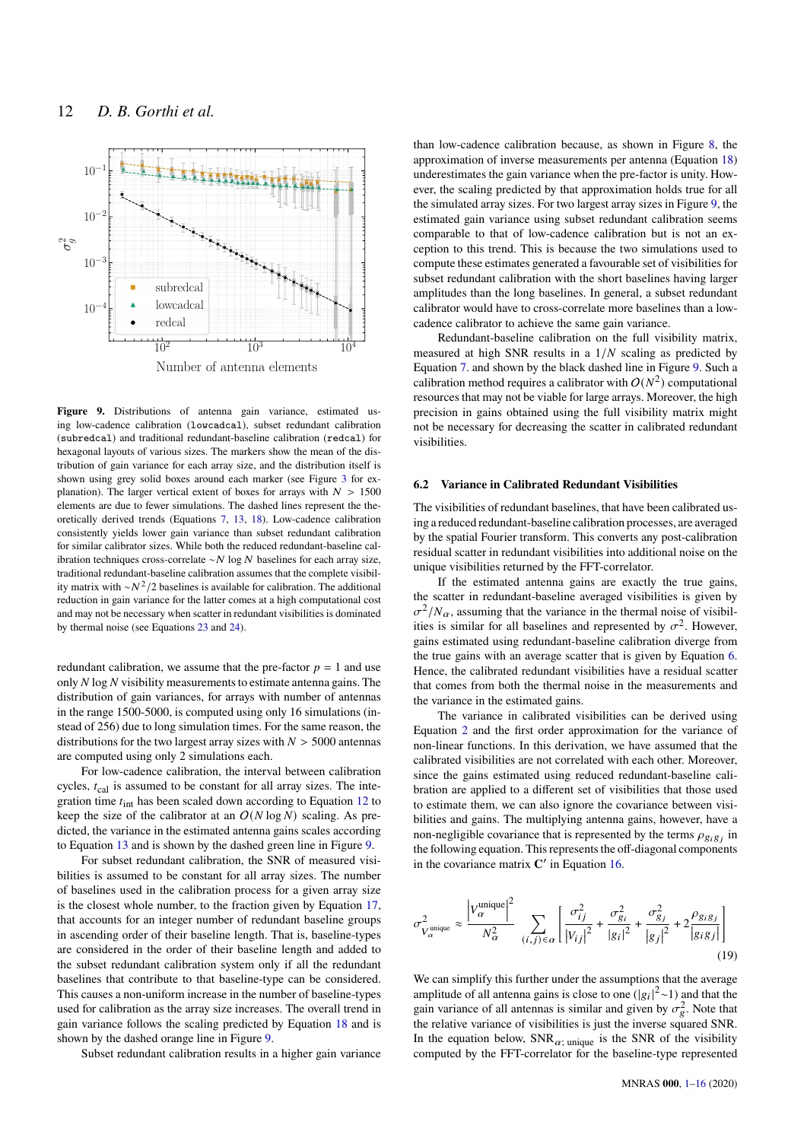

<span id="page-11-0"></span>**Figure 9.** Distributions of antenna gain variance, estimated using low-cadence calibration (lowcadcal), subset redundant calibration (subredcal) and traditional redundant-baseline calibration (redcal) for hexagonal layouts of various sizes. The markers show the mean of the distribution of gain variance for each array size, and the distribution itself is shown using grey solid boxes around each marker (see Figure [3](#page-6-0) for explanation). The larger vertical extent of boxes for arrays with  $N > 1500$ elements are due to fewer simulations. The dashed lines represent the theoretically derived trends (Equations [7,](#page-4-2) [13,](#page-7-2) [18\)](#page-10-3). Low-cadence calibration consistently yields lower gain variance than subset redundant calibration for similar calibrator sizes. While both the reduced redundant-baseline calibration techniques cross-correlate ∼  $N \log N$  baselines for each array size, traditional redundant-baseline calibration assumes that the complete visibility matrix with  $\sim N^2/2$  baselines is available for calibration. The additional reduction in gain variance for the latter comes at a high computational cost and may not be necessary when scatter in redundant visibilities is dominated by thermal noise (see Equations [23](#page-12-0) and [24\)](#page-12-1).

redundant calibration, we assume that the pre-factor  $p = 1$  and use only  $N \log N$  visibility measurements to estimate antenna gains. The distribution of gain variances, for arrays with number of antennas in the range 1500-5000, is computed using only 16 simulations (instead of 256) due to long simulation times. For the same reason, the distributions for the two largest array sizes with  $N > 5000$  antennas are computed using only 2 simulations each.

For low-cadence calibration, the interval between calibration cycles,  $t_{\text{cal}}$  is assumed to be constant for all array sizes. The integration time  $t_{\text{int}}$  has been scaled down according to Equation [12](#page-7-1) to keep the size of the calibrator at an  $O(N \log N)$  scaling. As predicted, the variance in the estimated antenna gains scales according to Equation [13](#page-7-2) and is shown by the dashed green line in Figure [9.](#page-11-0)

For subset redundant calibration, the SNR of measured visibilities is assumed to be constant for all array sizes. The number of baselines used in the calibration process for a given array size is the closest whole number, to the fraction given by Equation [17,](#page-10-2) that accounts for an integer number of redundant baseline groups in ascending order of their baseline length. That is, baseline-types are considered in the order of their baseline length and added to the subset redundant calibration system only if all the redundant baselines that contribute to that baseline-type can be considered. This causes a non-uniform increase in the number of baseline-types used for calibration as the array size increases. The overall trend in gain variance follows the scaling predicted by Equation [18](#page-10-3) and is shown by the dashed orange line in Figure [9.](#page-11-0)

Subset redundant calibration results in a higher gain variance

than low-cadence calibration because, as shown in Figure [8,](#page-10-1) the approximation of inverse measurements per antenna (Equation [18\)](#page-10-3) underestimates the gain variance when the pre-factor is unity. However, the scaling predicted by that approximation holds true for all the simulated array sizes. For two largest array sizes in Figure [9,](#page-11-0) the estimated gain variance using subset redundant calibration seems comparable to that of low-cadence calibration but is not an exception to this trend. This is because the two simulations used to compute these estimates generated a favourable set of visibilities for subset redundant calibration with the short baselines having larger amplitudes than the long baselines. In general, a subset redundant calibrator would have to cross-correlate more baselines than a lowcadence calibrator to achieve the same gain variance.

Redundant-baseline calibration on the full visibility matrix, measured at high SNR results in a  $1/N$  scaling as predicted by Equation [7.](#page-4-2) and shown by the black dashed line in Figure [9.](#page-11-0) Such a calibration method requires a calibrator with  $O(N^2)$  computational resources that may not be viable for large arrays. Moreover, the high precision in gains obtained using the full visibility matrix might not be necessary for decreasing the scatter in calibrated redundant visibilities.

## **6.2 Variance in Calibrated Redundant Visibilities**

The visibilities of redundant baselines, that have been calibrated using a reduced redundant-baseline calibration processes, are averaged by the spatial Fourier transform. This converts any post-calibration residual scatter in redundant visibilities into additional noise on the unique visibilities returned by the FFT-correlator.

If the estimated antenna gains are exactly the true gains, the scatter in redundant-baseline averaged visibilities is given by  $\sigma^2/N_\alpha$ , assuming that the variance in the thermal noise of visibilities is similar for all baselines and represented by  $\sigma^2$ . However, gains estimated using redundant-baseline calibration diverge from the true gains with an average scatter that is given by Equation [6.](#page-4-1) Hence, the calibrated redundant visibilities have a residual scatter that comes from both the thermal noise in the measurements and the variance in the estimated gains.

The variance in calibrated visibilities can be derived using Equation [2](#page-3-1) and the first order approximation for the variance of non-linear functions. In this derivation, we have assumed that the calibrated visibilities are not correlated with each other. Moreover, since the gains estimated using reduced redundant-baseline calibration are applied to a different set of visibilities that those used to estimate them, we can also ignore the covariance between visibilities and gains. The multiplying antenna gains, however, have a non-negligible covariance that is represented by the terms  $\rho_{g_i g_j}$  in the following equation. This represents the off-diagonal components in the covariance matrix  $C'$  in Equation [16.](#page-8-3)

$$
\sigma_{V_{\alpha}^{\text{unique}}}^2 \approx \frac{\left|V_{\alpha}^{\text{unique}}\right|^2}{N_{\alpha}^2} \sum_{(i,j)\in\alpha} \left[\frac{\sigma_{ij}^2}{\left|V_{ij}\right|^2} + \frac{\sigma_{gi}^2}{\left|g_i\right|^2} + \frac{\sigma_{g_j}^2}{\left|g_j\right|^2} + 2\frac{\rho_{g_ig_j}}{\left|g_ig_j\right|}\right]
$$
\n(19)

We can simplify this further under the assumptions that the average amplitude of all antenna gains is close to one  $(|g_i|^2 \sim 1)$  and that the gain variance of all antennas is similar and given by  $\sigma_{\rm g}^2$ . Note that the relative variance of visibilities is just the inverse squared SNR. In the equation below,  $SNR_{\alpha}$ ; unique is the SNR of the visibility computed by the FFT-correlator for the baseline-type represented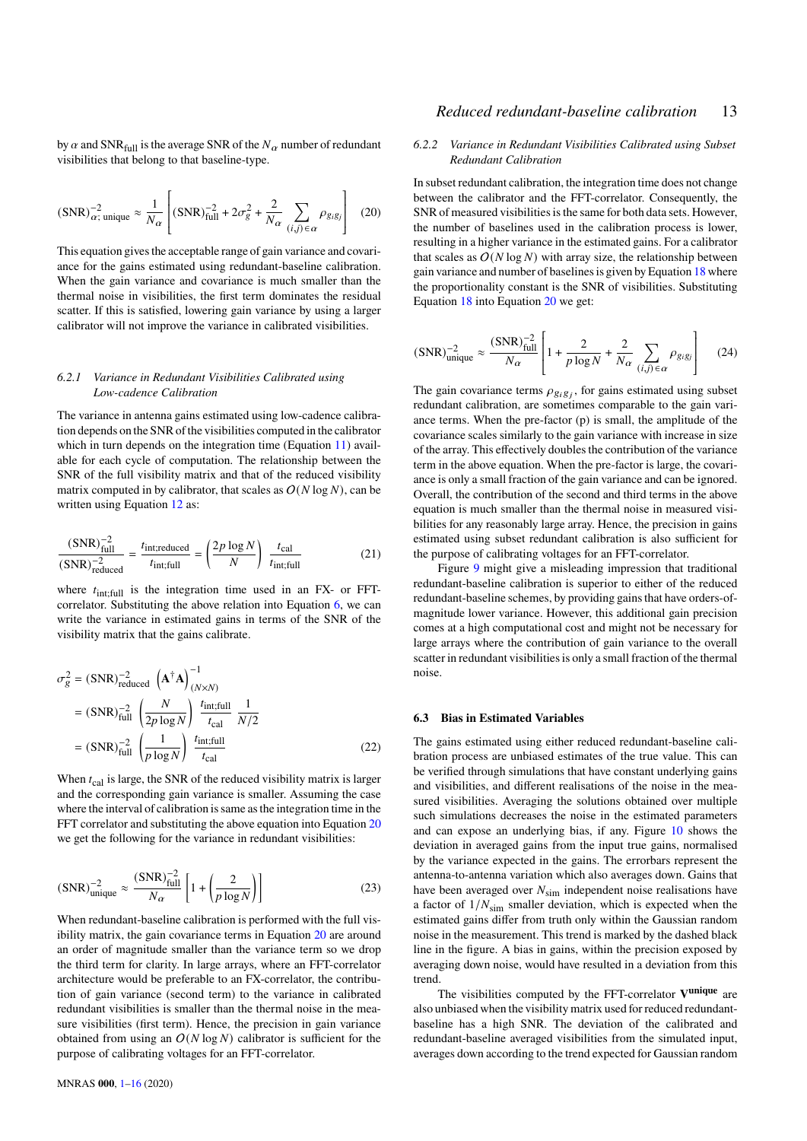by  $\alpha$  and SNR  $_{\text{full}}$  is the average SNR of the  $N_\alpha$  number of redundant visibilities that belong to that baseline-type.

<span id="page-12-2"></span>
$$
(\text{SNR})_{\alpha}^{-2} \text{unique} \approx \frac{1}{N_{\alpha}} \left[ (\text{SNR})_{\text{full}}^{-2} + 2\sigma_g^2 + \frac{2}{N_{\alpha}} \sum_{(i,j) \in \alpha} \rho_{g_i g_j} \right] \tag{20}
$$

This equation gives the acceptable range of gain variance and covariance for the gains estimated using redundant-baseline calibration. When the gain variance and covariance is much smaller than the thermal noise in visibilities, the first term dominates the residual scatter. If this is satisfied, lowering gain variance by using a larger calibrator will not improve the variance in calibrated visibilities.

### *6.2.1 Variance in Redundant Visibilities Calibrated using Low-cadence Calibration*

The variance in antenna gains estimated using low-cadence calibration depends on the SNR of the visibilities computed in the calibrator which in turn depends on the integration time (Equation [11\)](#page-6-2) available for each cycle of computation. The relationship between the SNR of the full visibility matrix and that of the reduced visibility matrix computed in by calibrator, that scales as  $O(N \log N)$ , can be written using Equation [12](#page-7-1) as:

$$
\frac{(SNR)_{\text{full}}^{-2}}{(SNR)_{\text{reduced}}^{-2}} = \frac{t_{\text{int;reduced}}}{t_{\text{int;full}}} = \left(\frac{2p \log N}{N}\right) \frac{t_{\text{cal}}}{t_{\text{int;full}}}
$$
(21)

where  $t_{\text{int;full}}$  is the integration time used in an FX- or FFT-correlator. Substituting the above relation into Equation [6,](#page-4-1) we can write the variance in estimated gains in terms of the SNR of the visibility matrix that the gains calibrate.

$$
\sigma_g^2 = (\text{SNR})_{\text{reduced}}^{-2} \left(\mathbf{A}^\dagger \mathbf{A}\right)_{(N \times N)}^{-1}
$$

$$
= (\text{SNR})_{\text{full}}^{-2} \left(\frac{N}{2p \log N}\right) \frac{t_{\text{int;full}}}{t_{\text{cal}}} \frac{1}{N/2}
$$

$$
= (\text{SNR})_{\text{full}}^{-2} \left(\frac{1}{p \log N}\right) \frac{t_{\text{int;full}}}{t_{\text{cal}}} \tag{22}
$$

When  $t_{\text{cal}}$  is large, the SNR of the reduced visibility matrix is larger and the corresponding gain variance is smaller. Assuming the case where the interval of calibration is same as the integration time in the FFT correlator and substituting the above equation into Equation [20](#page-12-2) we get the following for the variance in redundant visibilities:

<span id="page-12-0"></span>
$$
(\text{SNR})_{\text{unique}}^{-2} \approx \frac{(\text{SNR})_{\text{full}}^{-2}}{N_{\alpha}} \left[ 1 + \left( \frac{2}{p \log N} \right) \right]
$$
 (23)

When redundant-baseline calibration is performed with the full visibility matrix, the gain covariance terms in Equation [20](#page-12-2) are around an order of magnitude smaller than the variance term so we drop the third term for clarity. In large arrays, where an FFT-correlator architecture would be preferable to an FX-correlator, the contribution of gain variance (second term) to the variance in calibrated redundant visibilities is smaller than the thermal noise in the measure visibilities (first term). Hence, the precision in gain variance obtained from using an  $O(N \log N)$  calibrator is sufficient for the purpose of calibrating voltages for an FFT-correlator.

# *Reduced redundant-baseline calibration* 13

# *6.2.2 Variance in Redundant Visibilities Calibrated using Subset Redundant Calibration*

In subset redundant calibration, the integration time does not change between the calibrator and the FFT-correlator. Consequently, the SNR of measured visibilities is the same for both data sets. However, the number of baselines used in the calibration process is lower, resulting in a higher variance in the estimated gains. For a calibrator that scales as  $O(N \log N)$  with array size, the relationship between gain variance and number of baselines is given by Equation [18](#page-10-3) where the proportionality constant is the SNR of visibilities. Substituting Equation [18](#page-10-3) into Equation [20](#page-12-2) we get:

<span id="page-12-1"></span>
$$
(\text{SNR})_{\text{unique}}^{-2} \approx \frac{(\text{SNR})_{\text{full}}^{-2}}{N_{\alpha}} \left[ 1 + \frac{2}{p \log N} + \frac{2}{N_{\alpha}} \sum_{(i,j) \in \alpha} \rho_{g_i g_j} \right] \tag{24}
$$

The gain covariance terms  $\rho_{g_i g_j}$ , for gains estimated using subset redundant calibration, are sometimes comparable to the gain variance terms. When the pre-factor (p) is small, the amplitude of the covariance scales similarly to the gain variance with increase in size of the array. This effectively doubles the contribution of the variance term in the above equation. When the pre-factor is large, the covariance is only a small fraction of the gain variance and can be ignored. Overall, the contribution of the second and third terms in the above equation is much smaller than the thermal noise in measured visibilities for any reasonably large array. Hence, the precision in gains estimated using subset redundant calibration is also sufficient for the purpose of calibrating voltages for an FFT-correlator.

Figure [9](#page-11-0) might give a misleading impression that traditional redundant-baseline calibration is superior to either of the reduced redundant-baseline schemes, by providing gains that have orders-ofmagnitude lower variance. However, this additional gain precision comes at a high computational cost and might not be necessary for large arrays where the contribution of gain variance to the overall scatter in redundant visibilities is only a small fraction of the thermal noise.

### **6.3 Bias in Estimated Variables**

The gains estimated using either reduced redundant-baseline calibration process are unbiased estimates of the true value. This can be verified through simulations that have constant underlying gains and visibilities, and different realisations of the noise in the measured visibilities. Averaging the solutions obtained over multiple such simulations decreases the noise in the estimated parameters and can expose an underlying bias, if any. Figure [10](#page-13-0) shows the deviation in averaged gains from the input true gains, normalised by the variance expected in the gains. The errorbars represent the antenna-to-antenna variation which also averages down. Gains that have been averaged over  $N_{sim}$  independent noise realisations have a factor of  $1/N<sub>sim</sub>$  smaller deviation, which is expected when the estimated gains differ from truth only within the Gaussian random noise in the measurement. This trend is marked by the dashed black line in the figure. A bias in gains, within the precision exposed by averaging down noise, would have resulted in a deviation from this trend.

The visibilities computed by the FFT-correlator **V unique** are also unbiased when the visibility matrix used for reduced redundantbaseline has a high SNR. The deviation of the calibrated and redundant-baseline averaged visibilities from the simulated input, averages down according to the trend expected for Gaussian random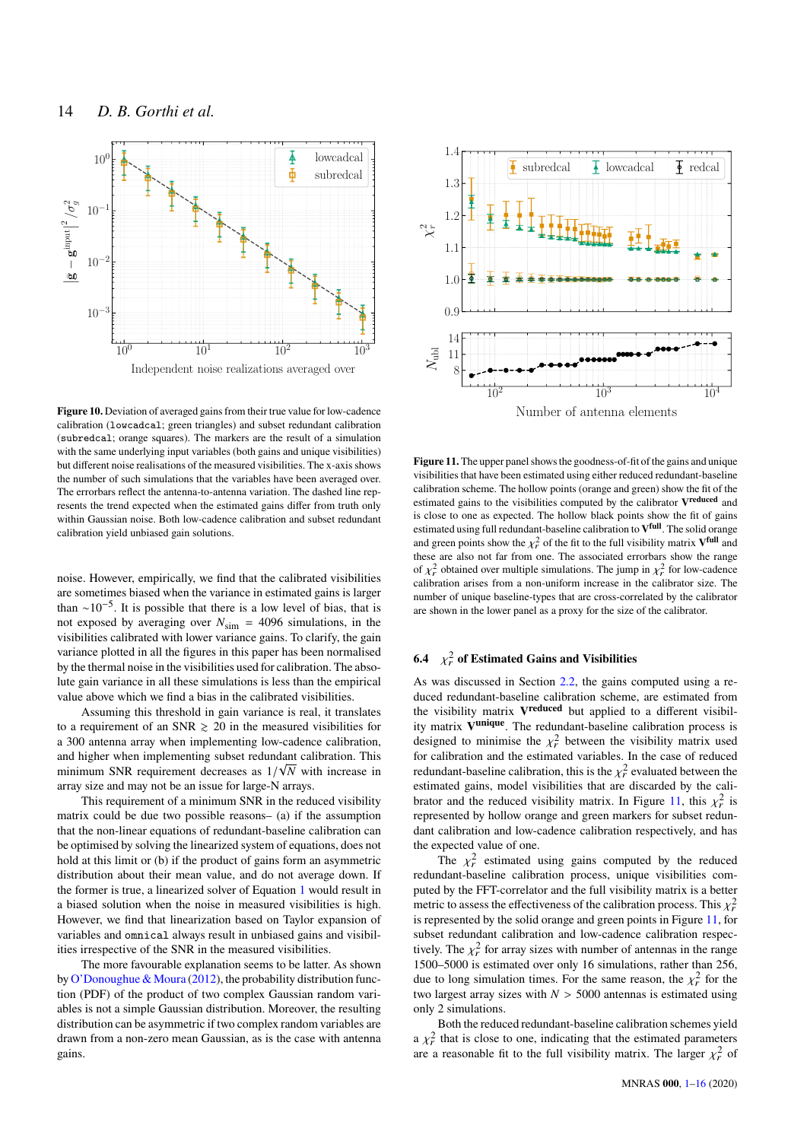

<span id="page-13-0"></span>**Figure 10.** Deviation of averaged gains from their true value for low-cadence calibration (lowcadcal; green triangles) and subset redundant calibration (subredcal; orange squares). The markers are the result of a simulation with the same underlying input variables (both gains and unique visibilities) but different noise realisations of the measured visibilities. The x-axis shows the number of such simulations that the variables have been averaged over. The errorbars reflect the antenna-to-antenna variation. The dashed line represents the trend expected when the estimated gains differ from truth only within Gaussian noise. Both low-cadence calibration and subset redundant calibration yield unbiased gain solutions.

noise. However, empirically, we find that the calibrated visibilities are sometimes biased when the variance in estimated gains is larger than  $\sim 10^{-5}$ . It is possible that there is a low level of bias, that is not exposed by averaging over  $N_{\text{sim}} = 4096$  simulations, in the visibilities calibrated with lower variance gains. To clarify, the gain variance plotted in all the figures in this paper has been normalised by the thermal noise in the visibilities used for calibration. The absolute gain variance in all these simulations is less than the empirical value above which we find a bias in the calibrated visibilities.

Assuming this threshold in gain variance is real, it translates to a requirement of an SNR  $\geq$  20 in the measured visibilities for a 300 antenna array when implementing low-cadence calibration, and higher when implementing subset redundant calibration. This √ minimum SNR requirement decreases as  $1/\sqrt{N}$  with increase in array size and may not be an issue for large-N arrays.

This requirement of a minimum SNR in the reduced visibility matrix could be due two possible reasons– (a) if the assumption that the non-linear equations of redundant-baseline calibration can be optimised by solving the linearized system of equations, does not hold at this limit or (b) if the product of gains form an asymmetric distribution about their mean value, and do not average down. If the former is true, a linearized solver of Equation [1](#page-3-0) would result in a biased solution when the noise in measured visibilities is high. However, we find that linearization based on Taylor expansion of variables and omnical always result in unbiased gains and visibilities irrespective of the SNR in the measured visibilities.

The more favourable explanation seems to be latter. As shown by [O'Donoughue & Moura](#page-15-36) [\(2012\)](#page-15-36), the probability distribution function (PDF) of the product of two complex Gaussian random variables is not a simple Gaussian distribution. Moreover, the resulting distribution can be asymmetric if two complex random variables are drawn from a non-zero mean Gaussian, as is the case with antenna gains.



<span id="page-13-1"></span>**Figure 11.** The upper panel shows the goodness-of-fit of the gains and unique visibilities that have been estimated using either reduced redundant-baseline calibration scheme. The hollow points (orange and green) show the fit of the estimated gains to the visibilities computed by the calibrator **V reduced** and is close to one as expected. The hollow black points show the fit of gains estimated using full redundant-baseline calibration to **V full**. The solid orange and green points show the  $\chi^2_r$  of the fit to the full visibility matrix  $V^{\text{full}}$  and these are also not far from one. The associated errorbars show the range of  $\chi^2_r$  obtained over multiple simulations. The jump in  $\chi^2_r$  for low-cadence calibration arises from a non-uniform increase in the calibrator size. The number of unique baseline-types that are cross-correlated by the calibrator are shown in the lower panel as a proxy for the size of the calibrator.

# **6.4**  $\chi^2_r$  of Estimated Gains and Visibilities

As was discussed in Section [2.2,](#page-4-3) the gains computed using a reduced redundant-baseline calibration scheme, are estimated from the visibility matrix **V reduced** but applied to a different visibility matrix **V unique**. The redundant-baseline calibration process is designed to minimise the  $\chi^2$  between the visibility matrix used for calibration and the estimated variables. In the case of reduced redundant-baseline calibration, this is the  $\chi^2_r$  evaluated between the estimated gains, model visibilities that are discarded by the cali-brator and the reduced visibility matrix. In Figure [11,](#page-13-1) this  $\chi^2_r$  is represented by hollow orange and green markers for subset redundant calibration and low-cadence calibration respectively, and has the expected value of one.

The  $\chi^2$  estimated using gains computed by the reduced redundant-baseline calibration process, unique visibilities computed by the FFT-correlator and the full visibility matrix is a better metric to assess the effectiveness of the calibration process. This  $\chi^2_r$ is represented by the solid orange and green points in Figure [11,](#page-13-1) for subset redundant calibration and low-cadence calibration respectively. The  $\chi^2_r$  for array sizes with number of antennas in the range 1500–5000 is estimated over only 16 simulations, rather than 256, due to long simulation times. For the same reason, the  $\chi^2_r$  for the two largest array sizes with  $N > 5000$  antennas is estimated using only 2 simulations.

Both the reduced redundant-baseline calibration schemes yield a  $\chi^2$  that is close to one, indicating that the estimated parameters are a reasonable fit to the full visibility matrix. The larger  $\chi^2_r$  of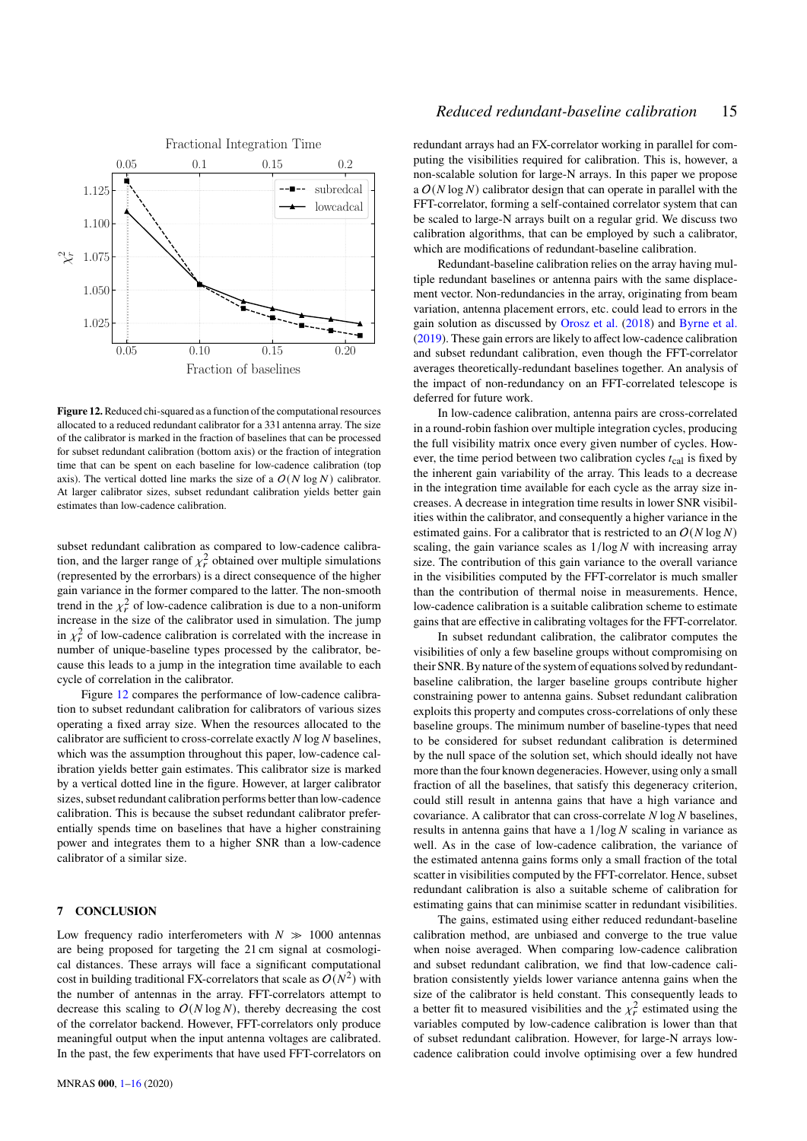

<span id="page-14-1"></span>**Figure 12.**Reduced chi-squared as a function of the computational resources allocated to a reduced redundant calibrator for a 331 antenna array. The size of the calibrator is marked in the fraction of baselines that can be processed for subset redundant calibration (bottom axis) or the fraction of integration time that can be spent on each baseline for low-cadence calibration (top axis). The vertical dotted line marks the size of a  $O(N \log N)$  calibrator. At larger calibrator sizes, subset redundant calibration yields better gain estimates than low-cadence calibration.

subset redundant calibration as compared to low-cadence calibration, and the larger range of  $\chi^2_r$  obtained over multiple simulations (represented by the errorbars) is a direct consequence of the higher gain variance in the former compared to the latter. The non-smooth trend in the  $\chi^2_r$  of low-cadence calibration is due to a non-uniform increase in the size of the calibrator used in simulation. The jump in  $\chi^2_r$  of low-cadence calibration is correlated with the increase in number of unique-baseline types processed by the calibrator, because this leads to a jump in the integration time available to each cycle of correlation in the calibrator.

Figure [12](#page-14-1) compares the performance of low-cadence calibration to subset redundant calibration for calibrators of various sizes operating a fixed array size. When the resources allocated to the calibrator are sufficient to cross-correlate exactly  $N \log N$  baselines, which was the assumption throughout this paper, low-cadence calibration yields better gain estimates. This calibrator size is marked by a vertical dotted line in the figure. However, at larger calibrator sizes, subset redundant calibration performs better than low-cadence calibration. This is because the subset redundant calibrator preferentially spends time on baselines that have a higher constraining power and integrates them to a higher SNR than a low-cadence calibrator of a similar size.

### <span id="page-14-0"></span>**7 CONCLUSION**

Low frequency radio interferometers with  $N \gg 1000$  antennas are being proposed for targeting the 21 cm signal at cosmological distances. These arrays will face a significant computational cost in building traditional FX-correlators that scale as  $O(N^2)$  with the number of antennas in the array. FFT-correlators attempt to decrease this scaling to  $O(N \log N)$ , thereby decreasing the cost of the correlator backend. However, FFT-correlators only produce meaningful output when the input antenna voltages are calibrated. In the past, the few experiments that have used FFT-correlators on

# *Reduced redundant-baseline calibration* 15

redundant arrays had an FX-correlator working in parallel for computing the visibilities required for calibration. This is, however, a non-scalable solution for large-N arrays. In this paper we propose a  $O(N \log N)$  calibrator design that can operate in parallel with the FFT-correlator, forming a self-contained correlator system that can be scaled to large-N arrays built on a regular grid. We discuss two calibration algorithms, that can be employed by such a calibrator, which are modifications of redundant-baseline calibration.

Redundant-baseline calibration relies on the array having multiple redundant baselines or antenna pairs with the same displacement vector. Non-redundancies in the array, originating from beam variation, antenna placement errors, etc. could lead to errors in the gain solution as discussed by [Orosz et al.](#page-15-34) [\(2018\)](#page-15-34) and [Byrne et al.](#page-15-37) [\(2019\)](#page-15-37). These gain errors are likely to affect low-cadence calibration and subset redundant calibration, even though the FFT-correlator averages theoretically-redundant baselines together. An analysis of the impact of non-redundancy on an FFT-correlated telescope is deferred for future work.

In low-cadence calibration, antenna pairs are cross-correlated in a round-robin fashion over multiple integration cycles, producing the full visibility matrix once every given number of cycles. However, the time period between two calibration cycles  $t_{\text{cal}}$  is fixed by the inherent gain variability of the array. This leads to a decrease in the integration time available for each cycle as the array size increases. A decrease in integration time results in lower SNR visibilities within the calibrator, and consequently a higher variance in the estimated gains. For a calibrator that is restricted to an  $O(N \log N)$ scaling, the gain variance scales as  $1/\log N$  with increasing array size. The contribution of this gain variance to the overall variance in the visibilities computed by the FFT-correlator is much smaller than the contribution of thermal noise in measurements. Hence, low-cadence calibration is a suitable calibration scheme to estimate gains that are effective in calibrating voltages for the FFT-correlator.

In subset redundant calibration, the calibrator computes the visibilities of only a few baseline groups without compromising on their SNR. By nature of the system of equations solved by redundantbaseline calibration, the larger baseline groups contribute higher constraining power to antenna gains. Subset redundant calibration exploits this property and computes cross-correlations of only these baseline groups. The minimum number of baseline-types that need to be considered for subset redundant calibration is determined by the null space of the solution set, which should ideally not have more than the four known degeneracies. However, using only a small fraction of all the baselines, that satisfy this degeneracy criterion, could still result in antenna gains that have a high variance and covariance. A calibrator that can cross-correlate  $N \log N$  baselines, results in antenna gains that have a  $1/\log N$  scaling in variance as well. As in the case of low-cadence calibration, the variance of the estimated antenna gains forms only a small fraction of the total scatter in visibilities computed by the FFT-correlator. Hence, subset redundant calibration is also a suitable scheme of calibration for estimating gains that can minimise scatter in redundant visibilities.

The gains, estimated using either reduced redundant-baseline calibration method, are unbiased and converge to the true value when noise averaged. When comparing low-cadence calibration and subset redundant calibration, we find that low-cadence calibration consistently yields lower variance antenna gains when the size of the calibrator is held constant. This consequently leads to a better fit to measured visibilities and the  $\chi^2$  estimated using the variables computed by low-cadence calibration is lower than that of subset redundant calibration. However, for large-N arrays lowcadence calibration could involve optimising over a few hundred